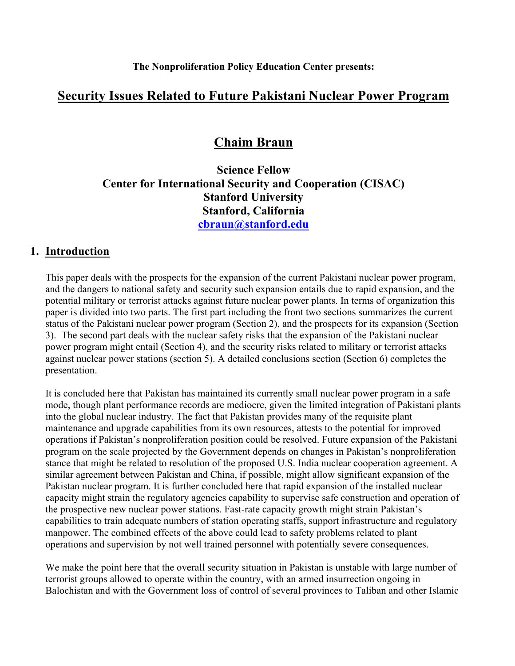**The Nonproliferation Policy Education Center presents:** 

## **Security Issues Related to Future Pakistani Nuclear Power Program**

# **Chaim Braun**

## **Science Fellow Center for International Security and Cooperation (CISAC) Stanford University Stanford, California cbraun@stanford.edu**

## **1. Introduction**

This paper deals with the prospects for the expansion of the current Pakistani nuclear power program, and the dangers to national safety and security such expansion entails due to rapid expansion, and the potential military or terrorist attacks against future nuclear power plants. In terms of organization this paper is divided into two parts. The first part including the front two sections summarizes the current status of the Pakistani nuclear power program (Section 2), and the prospects for its expansion (Section 3). The second part deals with the nuclear safety risks that the expansion of the Pakistani nuclear power program might entail (Section 4), and the security risks related to military or terrorist attacks against nuclear power stations (section 5). A detailed conclusions section (Section 6) completes the presentation.

It is concluded here that Pakistan has maintained its currently small nuclear power program in a safe mode, though plant performance records are mediocre, given the limited integration of Pakistani plants into the global nuclear industry. The fact that Pakistan provides many of the requisite plant maintenance and upgrade capabilities from its own resources, attests to the potential for improved operations if Pakistan's nonproliferation position could be resolved. Future expansion of the Pakistani program on the scale projected by the Government depends on changes in Pakistan's nonproliferation stance that might be related to resolution of the proposed U.S. India nuclear cooperation agreement. A similar agreement between Pakistan and China, if possible, might allow significant expansion of the Pakistan nuclear program. It is further concluded here that rapid expansion of the installed nuclear capacity might strain the regulatory agencies capability to supervise safe construction and operation of the prospective new nuclear power stations. Fast-rate capacity growth might strain Pakistan's capabilities to train adequate numbers of station operating staffs, support infrastructure and regulatory manpower. The combined effects of the above could lead to safety problems related to plant operations and supervision by not well trained personnel with potentially severe consequences.

We make the point here that the overall security situation in Pakistan is unstable with large number of terrorist groups allowed to operate within the country, with an armed insurrection ongoing in Balochistan and with the Government loss of control of several provinces to Taliban and other Islamic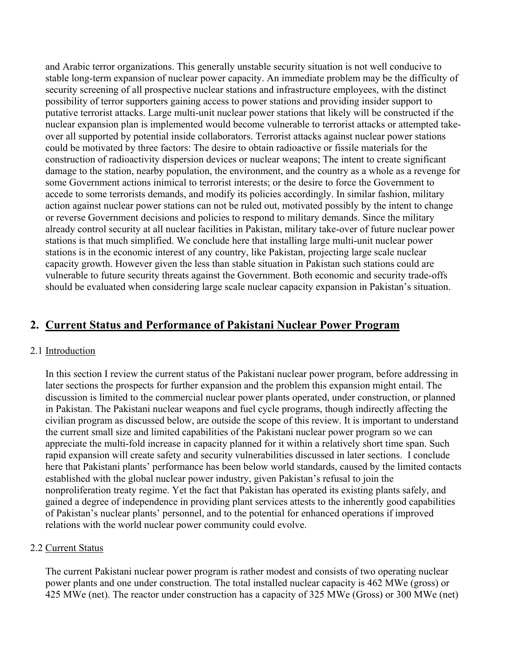and Arabic terror organizations. This generally unstable security situation is not well conducive to stable long-term expansion of nuclear power capacity. An immediate problem may be the difficulty of security screening of all prospective nuclear stations and infrastructure employees, with the distinct possibility of terror supporters gaining access to power stations and providing insider support to putative terrorist attacks. Large multi-unit nuclear power stations that likely will be constructed if the nuclear expansion plan is implemented would become vulnerable to terrorist attacks or attempted takeover all supported by potential inside collaborators. Terrorist attacks against nuclear power stations could be motivated by three factors: The desire to obtain radioactive or fissile materials for the construction of radioactivity dispersion devices or nuclear weapons; The intent to create significant damage to the station, nearby population, the environment, and the country as a whole as a revenge for some Government actions inimical to terrorist interests; or the desire to force the Government to accede to some terrorists demands, and modify its policies accordingly. In similar fashion, military action against nuclear power stations can not be ruled out, motivated possibly by the intent to change or reverse Government decisions and policies to respond to military demands. Since the military already control security at all nuclear facilities in Pakistan, military take-over of future nuclear power stations is that much simplified. We conclude here that installing large multi-unit nuclear power stations is in the economic interest of any country, like Pakistan, projecting large scale nuclear capacity growth. However given the less than stable situation in Pakistan such stations could are vulnerable to future security threats against the Government. Both economic and security trade-offs should be evaluated when considering large scale nuclear capacity expansion in Pakistan's situation.

## **2. Current Status and Performance of Pakistani Nuclear Power Program**

## 2.1 Introduction

In this section I review the current status of the Pakistani nuclear power program, before addressing in later sections the prospects for further expansion and the problem this expansion might entail. The discussion is limited to the commercial nuclear power plants operated, under construction, or planned in Pakistan. The Pakistani nuclear weapons and fuel cycle programs, though indirectly affecting the civilian program as discussed below, are outside the scope of this review. It is important to understand the current small size and limited capabilities of the Pakistani nuclear power program so we can appreciate the multi-fold increase in capacity planned for it within a relatively short time span. Such rapid expansion will create safety and security vulnerabilities discussed in later sections. I conclude here that Pakistani plants' performance has been below world standards, caused by the limited contacts established with the global nuclear power industry, given Pakistan's refusal to join the nonproliferation treaty regime. Yet the fact that Pakistan has operated its existing plants safely, and gained a degree of independence in providing plant services attests to the inherently good capabilities of Pakistan's nuclear plants' personnel, and to the potential for enhanced operations if improved relations with the world nuclear power community could evolve.

## 2.2 Current Status

The current Pakistani nuclear power program is rather modest and consists of two operating nuclear power plants and one under construction. The total installed nuclear capacity is 462 MWe (gross) or 425 MWe (net). The reactor under construction has a capacity of 325 MWe (Gross) or 300 MWe (net)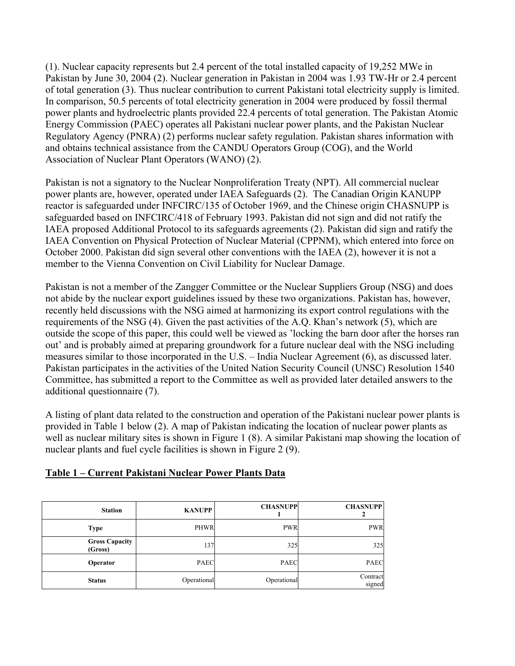(1). Nuclear capacity represents but 2.4 percent of the total installed capacity of 19,252 MWe in Pakistan by June 30, 2004 (2). Nuclear generation in Pakistan in 2004 was 1.93 TW-Hr or 2.4 percent of total generation (3). Thus nuclear contribution to current Pakistani total electricity supply is limited. In comparison, 50.5 percents of total electricity generation in 2004 were produced by fossil thermal power plants and hydroelectric plants provided 22.4 percents of total generation. The Pakistan Atomic Energy Commission (PAEC) operates all Pakistani nuclear power plants, and the Pakistan Nuclear Regulatory Agency (PNRA) (2) performs nuclear safety regulation. Pakistan shares information with and obtains technical assistance from the CANDU Operators Group (COG), and the World Association of Nuclear Plant Operators (WANO) (2).

Pakistan is not a signatory to the Nuclear Nonproliferation Treaty (NPT). All commercial nuclear power plants are, however, operated under IAEA Safeguards (2). The Canadian Origin KANUPP reactor is safeguarded under INFCIRC/135 of October 1969, and the Chinese origin CHASNUPP is safeguarded based on INFCIRC/418 of February 1993. Pakistan did not sign and did not ratify the IAEA proposed Additional Protocol to its safeguards agreements (2). Pakistan did sign and ratify the IAEA Convention on Physical Protection of Nuclear Material (CPPNM), which entered into force on October 2000. Pakistan did sign several other conventions with the IAEA (2), however it is not a member to the Vienna Convention on Civil Liability for Nuclear Damage.

Pakistan is not a member of the Zangger Committee or the Nuclear Suppliers Group (NSG) and does not abide by the nuclear export guidelines issued by these two organizations. Pakistan has, however, recently held discussions with the NSG aimed at harmonizing its export control regulations with the requirements of the NSG (4). Given the past activities of the A.Q. Khan's network (5), which are outside the scope of this paper, this could well be viewed as 'locking the barn door after the horses ran out' and is probably aimed at preparing groundwork for a future nuclear deal with the NSG including measures similar to those incorporated in the U.S. – India Nuclear Agreement (6), as discussed later. Pakistan participates in the activities of the United Nation Security Council (UNSC) Resolution 1540 Committee, has submitted a report to the Committee as well as provided later detailed answers to the additional questionnaire (7).

A listing of plant data related to the construction and operation of the Pakistani nuclear power plants is provided in Table 1 below (2). A map of Pakistan indicating the location of nuclear power plants as well as nuclear military sites is shown in Figure 1 (8). A similar Pakistani map showing the location of nuclear plants and fuel cycle facilities is shown in Figure 2 (9).

| <b>Station</b>                   | <b>KANUPP</b> | <b>CHASNUPP</b> | <b>CHASNUPP</b>    |
|----------------------------------|---------------|-----------------|--------------------|
| <b>Type</b>                      | <b>PHWR</b>   | <b>PWR</b>      | <b>PWR</b>         |
| <b>Gross Capacity</b><br>(Gross) | 137           | 325             | 325                |
| Operator                         | <b>PAEC</b>   | <b>PAEC</b>     | <b>PAEC</b>        |
| <b>Status</b>                    | Operational   | Operational     | Contract<br>signed |

## **Table 1 – Current Pakistani Nuclear Power Plants Data**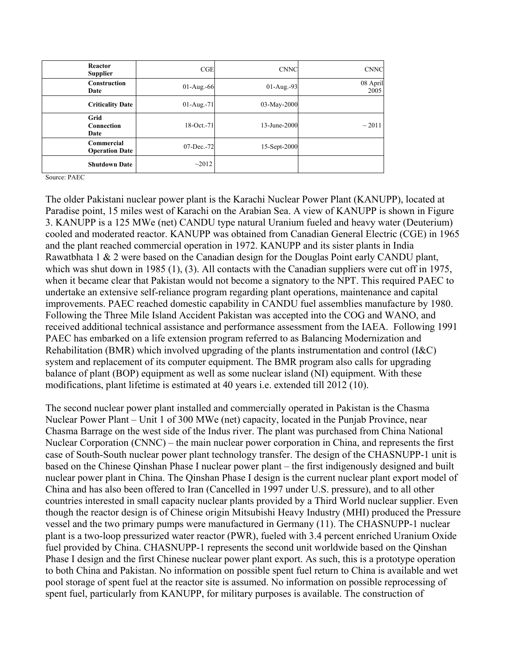| Reactor<br><b>Supplier</b>          | CGE          | <b>CNNC</b>  | <b>CNNC</b>      |
|-------------------------------------|--------------|--------------|------------------|
| Construction<br>Date                | $01-Aug.-66$ | $01-Aug.-93$ | 08 April<br>2005 |
| <b>Criticality Date</b>             | $01-Aug.-71$ | 03-May-2000  |                  |
| Grid<br>Connection<br>Date          | 18-Oct.-71   | 13-June-2000 | $\sim$ 2011      |
| Commercial<br><b>Operation Date</b> | 07-Dec.-72   | 15-Sept-2000 |                  |
| <b>Shutdown Date</b>                | ~2012        |              |                  |

Source: PAEC

The older Pakistani nuclear power plant is the Karachi Nuclear Power Plant (KANUPP), located at Paradise point, 15 miles west of Karachi on the Arabian Sea. A view of KANUPP is shown in Figure 3. KANUPP is a 125 MWe (net) CANDU type natural Uranium fueled and heavy water (Deuterium) cooled and moderated reactor. KANUPP was obtained from Canadian General Electric (CGE) in 1965 and the plant reached commercial operation in 1972. KANUPP and its sister plants in India Rawatbhata 1 & 2 were based on the Canadian design for the Douglas Point early CANDU plant, which was shut down in 1985 (1), (3). All contacts with the Canadian suppliers were cut off in 1975, when it became clear that Pakistan would not become a signatory to the NPT. This required PAEC to undertake an extensive self-reliance program regarding plant operations, maintenance and capital improvements. PAEC reached domestic capability in CANDU fuel assemblies manufacture by 1980. Following the Three Mile Island Accident Pakistan was accepted into the COG and WANO, and received additional technical assistance and performance assessment from the IAEA. Following 1991 PAEC has embarked on a life extension program referred to as Balancing Modernization and Rehabilitation (BMR) which involved upgrading of the plants instrumentation and control (I&C) system and replacement of its computer equipment. The BMR program also calls for upgrading balance of plant (BOP) equipment as well as some nuclear island (NI) equipment. With these modifications, plant lifetime is estimated at 40 years i.e. extended till 2012 (10).

The second nuclear power plant installed and commercially operated in Pakistan is the Chasma Nuclear Power Plant – Unit 1 of 300 MWe (net) capacity, located in the Punjab Province, near Chasma Barrage on the west side of the Indus river. The plant was purchased from China National Nuclear Corporation (CNNC) – the main nuclear power corporation in China, and represents the first case of South-South nuclear power plant technology transfer. The design of the CHASNUPP-1 unit is based on the Chinese Qinshan Phase I nuclear power plant – the first indigenously designed and built nuclear power plant in China. The Qinshan Phase I design is the current nuclear plant export model of China and has also been offered to Iran (Cancelled in 1997 under U.S. pressure), and to all other countries interested in small capacity nuclear plants provided by a Third World nuclear supplier. Even though the reactor design is of Chinese origin Mitsubishi Heavy Industry (MHI) produced the Pressure vessel and the two primary pumps were manufactured in Germany (11). The CHASNUPP-1 nuclear plant is a two-loop pressurized water reactor (PWR), fueled with 3.4 percent enriched Uranium Oxide fuel provided by China. CHASNUPP-1 represents the second unit worldwide based on the Qinshan Phase I design and the first Chinese nuclear power plant export. As such, this is a prototype operation to both China and Pakistan. No information on possible spent fuel return to China is available and wet pool storage of spent fuel at the reactor site is assumed. No information on possible reprocessing of spent fuel, particularly from KANUPP, for military purposes is available. The construction of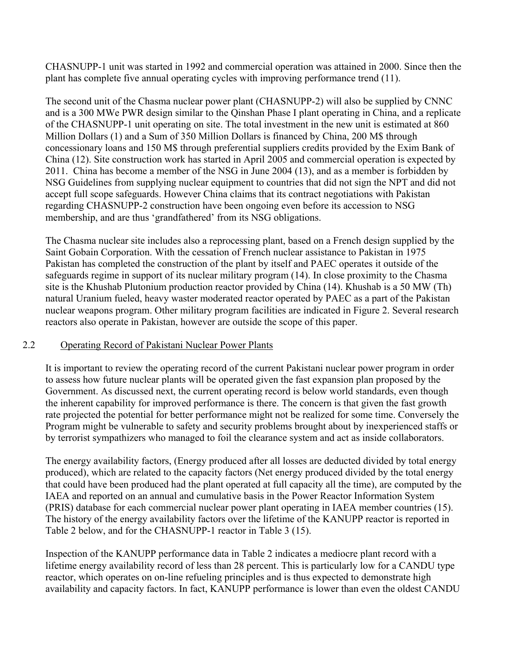CHASNUPP-1 unit was started in 1992 and commercial operation was attained in 2000. Since then the plant has complete five annual operating cycles with improving performance trend (11).

The second unit of the Chasma nuclear power plant (CHASNUPP-2) will also be supplied by CNNC and is a 300 MWe PWR design similar to the Qinshan Phase I plant operating in China, and a replicate of the CHASNUPP-1 unit operating on site. The total investment in the new unit is estimated at 860 Million Dollars (1) and a Sum of 350 Million Dollars is financed by China, 200 M\$ through concessionary loans and 150 M\$ through preferential suppliers credits provided by the Exim Bank of China (12). Site construction work has started in April 2005 and commercial operation is expected by 2011. China has become a member of the NSG in June 2004 (13), and as a member is forbidden by NSG Guidelines from supplying nuclear equipment to countries that did not sign the NPT and did not accept full scope safeguards. However China claims that its contract negotiations with Pakistan regarding CHASNUPP-2 construction have been ongoing even before its accession to NSG membership, and are thus 'grandfathered' from its NSG obligations.

The Chasma nuclear site includes also a reprocessing plant, based on a French design supplied by the Saint Gobain Corporation. With the cessation of French nuclear assistance to Pakistan in 1975 Pakistan has completed the construction of the plant by itself and PAEC operates it outside of the safeguards regime in support of its nuclear military program (14). In close proximity to the Chasma site is the Khushab Plutonium production reactor provided by China (14). Khushab is a 50 MW (Th) natural Uranium fueled, heavy waster moderated reactor operated by PAEC as a part of the Pakistan nuclear weapons program. Other military program facilities are indicated in Figure 2. Several research reactors also operate in Pakistan, however are outside the scope of this paper.

## 2.2 Operating Record of Pakistani Nuclear Power Plants

It is important to review the operating record of the current Pakistani nuclear power program in order to assess how future nuclear plants will be operated given the fast expansion plan proposed by the Government. As discussed next, the current operating record is below world standards, even though the inherent capability for improved performance is there. The concern is that given the fast growth rate projected the potential for better performance might not be realized for some time. Conversely the Program might be vulnerable to safety and security problems brought about by inexperienced staffs or by terrorist sympathizers who managed to foil the clearance system and act as inside collaborators.

The energy availability factors, (Energy produced after all losses are deducted divided by total energy produced), which are related to the capacity factors (Net energy produced divided by the total energy that could have been produced had the plant operated at full capacity all the time), are computed by the IAEA and reported on an annual and cumulative basis in the Power Reactor Information System (PRIS) database for each commercial nuclear power plant operating in IAEA member countries (15). The history of the energy availability factors over the lifetime of the KANUPP reactor is reported in Table 2 below, and for the CHASNUPP-1 reactor in Table 3 (15).

Inspection of the KANUPP performance data in Table 2 indicates a mediocre plant record with a lifetime energy availability record of less than 28 percent. This is particularly low for a CANDU type reactor, which operates on on-line refueling principles and is thus expected to demonstrate high availability and capacity factors. In fact, KANUPP performance is lower than even the oldest CANDU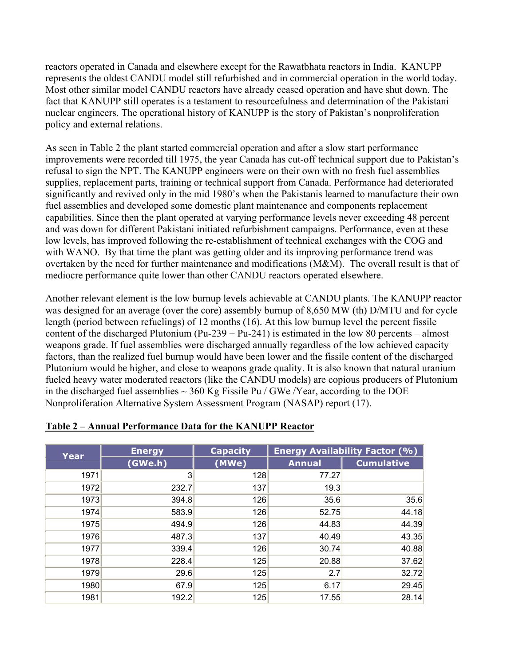reactors operated in Canada and elsewhere except for the Rawatbhata reactors in India. KANUPP represents the oldest CANDU model still refurbished and in commercial operation in the world today. Most other similar model CANDU reactors have already ceased operation and have shut down. The fact that KANUPP still operates is a testament to resourcefulness and determination of the Pakistani nuclear engineers. The operational history of KANUPP is the story of Pakistan's nonproliferation policy and external relations.

As seen in Table 2 the plant started commercial operation and after a slow start performance improvements were recorded till 1975, the year Canada has cut-off technical support due to Pakistan's refusal to sign the NPT. The KANUPP engineers were on their own with no fresh fuel assemblies supplies, replacement parts, training or technical support from Canada. Performance had deteriorated significantly and revived only in the mid 1980's when the Pakistanis learned to manufacture their own fuel assemblies and developed some domestic plant maintenance and components replacement capabilities. Since then the plant operated at varying performance levels never exceeding 48 percent and was down for different Pakistani initiated refurbishment campaigns. Performance, even at these low levels, has improved following the re-establishment of technical exchanges with the COG and with WANO. By that time the plant was getting older and its improving performance trend was overtaken by the need for further maintenance and modifications (M&M). The overall result is that of mediocre performance quite lower than other CANDU reactors operated elsewhere.

Another relevant element is the low burnup levels achievable at CANDU plants. The KANUPP reactor was designed for an average (over the core) assembly burnup of 8,650 MW (th) D/MTU and for cycle length (period between refuelings) of 12 months (16). At this low burnup level the percent fissile content of the discharged Plutonium (Pu-239 + Pu-241) is estimated in the low 80 percents – almost weapons grade. If fuel assemblies were discharged annually regardless of the low achieved capacity factors, than the realized fuel burnup would have been lower and the fissile content of the discharged Plutonium would be higher, and close to weapons grade quality. It is also known that natural uranium fueled heavy water moderated reactors (like the CANDU models) are copious producers of Plutonium in the discharged fuel assemblies  $\sim$  360 Kg Fissile Pu / GWe /Year, according to the DOE Nonproliferation Alternative System Assessment Program (NASAP) report (17).

| <b>Year</b> | <b>Energy</b> | <b>Capacity</b> |               | <b>Energy Availability Factor (%)</b> |  |  |
|-------------|---------------|-----------------|---------------|---------------------------------------|--|--|
|             | (GWe.h)       | (MWe)           | <b>Annual</b> | <b>Cumulative</b>                     |  |  |
| 1971        | 3             | 128             | 77.27         |                                       |  |  |
| 1972        | 232.7         | 137             | 19.3          |                                       |  |  |
| 1973        | 394.8         | 126             | 35.6          | 35.6                                  |  |  |
| 1974        | 583.9         | 126             | 52.75         | 44.18                                 |  |  |
| 1975        | 494.9         | 126             | 44.83         | 44.39                                 |  |  |
| 1976        | 487.3         | 137             | 40.49         | 43.35                                 |  |  |
| 1977        | 339.4         | 126             | 30.74         | 40.88                                 |  |  |
| 1978        | 228.4         | 125             | 20.88         | 37.62                                 |  |  |
| 1979        | 29.6          | 125             | 2.7           | 32.72                                 |  |  |
| 1980        | 67.9          | 125             | 6.17          | 29.45                                 |  |  |
| 1981        | 192.2         | 125             | 17.55         | 28.14                                 |  |  |

## **Table 2 – Annual Performance Data for the KANUPP Reactor**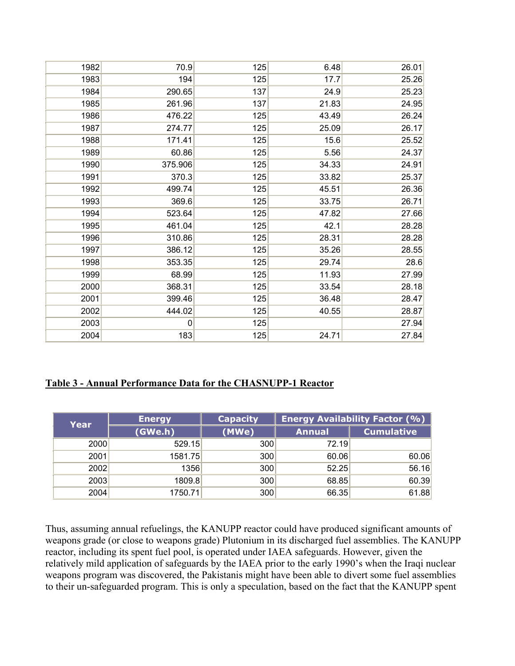| 1982 | 70.9           | 125 | 6.48  | 26.01 |
|------|----------------|-----|-------|-------|
| 1983 | 194            | 125 | 17.7  | 25.26 |
| 1984 | 290.65         | 137 | 24.9  | 25.23 |
| 1985 | 261.96         | 137 | 21.83 | 24.95 |
| 1986 | 476.22         | 125 | 43.49 | 26.24 |
| 1987 | 274.77         | 125 | 25.09 | 26.17 |
| 1988 | 171.41         | 125 | 15.6  | 25.52 |
| 1989 | 60.86          | 125 | 5.56  | 24.37 |
| 1990 | 375.906        | 125 | 34.33 | 24.91 |
| 1991 | 370.3          | 125 | 33.82 | 25.37 |
| 1992 | 499.74         | 125 | 45.51 | 26.36 |
| 1993 | 369.6          | 125 | 33.75 | 26.71 |
| 1994 | 523.64         | 125 | 47.82 | 27.66 |
| 1995 | 461.04         | 125 | 42.1  | 28.28 |
| 1996 | 310.86         | 125 | 28.31 | 28.28 |
| 1997 | 386.12         | 125 | 35.26 | 28.55 |
| 1998 | 353.35         | 125 | 29.74 | 28.6  |
| 1999 | 68.99          | 125 | 11.93 | 27.99 |
| 2000 | 368.31         | 125 | 33.54 | 28.18 |
| 2001 | 399.46         | 125 | 36.48 | 28.47 |
| 2002 | 444.02         | 125 | 40.55 | 28.87 |
| 2003 | $\overline{0}$ | 125 |       | 27.94 |
| 2004 | 183            | 125 | 24.71 | 27.84 |

#### **Table 3 - Annual Performance Data for the CHASNUPP-1 Reactor**

| Year | <b>Energy</b> | <b>Capacity</b> | <b>Energy Availability Factor (%)</b> |                   |  |
|------|---------------|-----------------|---------------------------------------|-------------------|--|
|      | (GWe.h)       | (MWe)           | <b>Annual</b>                         | <b>Cumulative</b> |  |
| 2000 | 529.15        | 300             | 72.19                                 |                   |  |
| 2001 | 1581.75       | 300             | 60.06                                 | 60.06             |  |
| 2002 | 1356          | 300             | 52.25                                 | 56.16             |  |
| 2003 | 1809.8        | 300             | 68.85                                 | 60.39             |  |
| 2004 | 1750.71       | 300             | 66.35                                 | 61.88             |  |

Thus, assuming annual refuelings, the KANUPP reactor could have produced significant amounts of weapons grade (or close to weapons grade) Plutonium in its discharged fuel assemblies. The KANUPP reactor, including its spent fuel pool, is operated under IAEA safeguards. However, given the relatively mild application of safeguards by the IAEA prior to the early 1990's when the Iraqi nuclear weapons program was discovered, the Pakistanis might have been able to divert some fuel assemblies to their un-safeguarded program. This is only a speculation, based on the fact that the KANUPP spent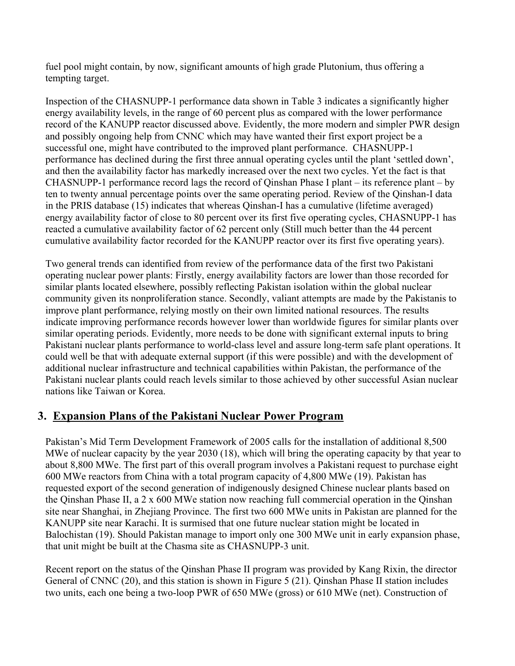fuel pool might contain, by now, significant amounts of high grade Plutonium, thus offering a tempting target.

Inspection of the CHASNUPP-1 performance data shown in Table 3 indicates a significantly higher energy availability levels, in the range of 60 percent plus as compared with the lower performance record of the KANUPP reactor discussed above. Evidently, the more modern and simpler PWR design and possibly ongoing help from CNNC which may have wanted their first export project be a successful one, might have contributed to the improved plant performance. CHASNUPP-1 performance has declined during the first three annual operating cycles until the plant 'settled down', and then the availability factor has markedly increased over the next two cycles. Yet the fact is that CHASNUPP-1 performance record lags the record of Qinshan Phase I plant – its reference plant – by ten to twenty annual percentage points over the same operating period. Review of the Qinshan-I data in the PRIS database (15) indicates that whereas Qinshan-I has a cumulative (lifetime averaged) energy availability factor of close to 80 percent over its first five operating cycles, CHASNUPP-1 has reacted a cumulative availability factor of 62 percent only (Still much better than the 44 percent cumulative availability factor recorded for the KANUPP reactor over its first five operating years).

Two general trends can identified from review of the performance data of the first two Pakistani operating nuclear power plants: Firstly, energy availability factors are lower than those recorded for similar plants located elsewhere, possibly reflecting Pakistan isolation within the global nuclear community given its nonproliferation stance. Secondly, valiant attempts are made by the Pakistanis to improve plant performance, relying mostly on their own limited national resources. The results indicate improving performance records however lower than worldwide figures for similar plants over similar operating periods. Evidently, more needs to be done with significant external inputs to bring Pakistani nuclear plants performance to world-class level and assure long-term safe plant operations. It could well be that with adequate external support (if this were possible) and with the development of additional nuclear infrastructure and technical capabilities within Pakistan, the performance of the Pakistani nuclear plants could reach levels similar to those achieved by other successful Asian nuclear nations like Taiwan or Korea.

## **3. Expansion Plans of the Pakistani Nuclear Power Program**

Pakistan's Mid Term Development Framework of 2005 calls for the installation of additional 8,500 MWe of nuclear capacity by the year 2030 (18), which will bring the operating capacity by that year to about 8,800 MWe. The first part of this overall program involves a Pakistani request to purchase eight 600 MWe reactors from China with a total program capacity of 4,800 MWe (19). Pakistan has requested export of the second generation of indigenously designed Chinese nuclear plants based on the Qinshan Phase II, a 2 x 600 MWe station now reaching full commercial operation in the Qinshan site near Shanghai, in Zhejiang Province. The first two 600 MWe units in Pakistan are planned for the KANUPP site near Karachi. It is surmised that one future nuclear station might be located in Balochistan (19). Should Pakistan manage to import only one 300 MWe unit in early expansion phase, that unit might be built at the Chasma site as CHASNUPP-3 unit.

Recent report on the status of the Qinshan Phase II program was provided by Kang Rixin, the director General of CNNC (20), and this station is shown in Figure 5 (21). Qinshan Phase II station includes two units, each one being a two-loop PWR of 650 MWe (gross) or 610 MWe (net). Construction of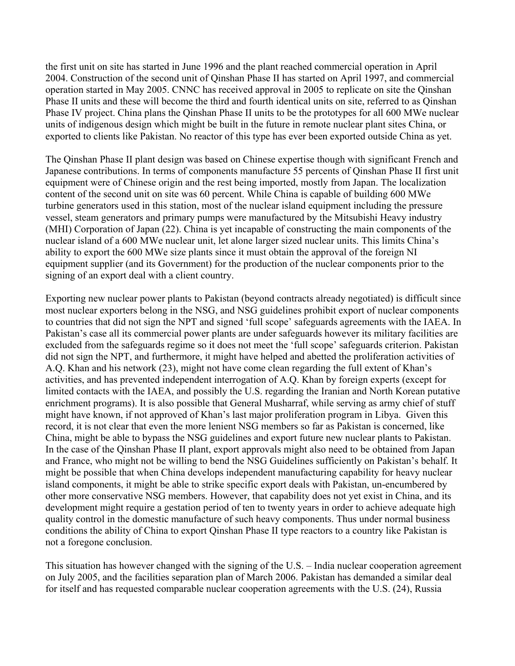the first unit on site has started in June 1996 and the plant reached commercial operation in April 2004. Construction of the second unit of Qinshan Phase II has started on April 1997, and commercial operation started in May 2005. CNNC has received approval in 2005 to replicate on site the Qinshan Phase II units and these will become the third and fourth identical units on site, referred to as Qinshan Phase IV project. China plans the Qinshan Phase II units to be the prototypes for all 600 MWe nuclear units of indigenous design which might be built in the future in remote nuclear plant sites China, or exported to clients like Pakistan. No reactor of this type has ever been exported outside China as yet.

The Qinshan Phase II plant design was based on Chinese expertise though with significant French and Japanese contributions. In terms of components manufacture 55 percents of Qinshan Phase II first unit equipment were of Chinese origin and the rest being imported, mostly from Japan. The localization content of the second unit on site was 60 percent. While China is capable of building 600 MWe turbine generators used in this station, most of the nuclear island equipment including the pressure vessel, steam generators and primary pumps were manufactured by the Mitsubishi Heavy industry (MHI) Corporation of Japan (22). China is yet incapable of constructing the main components of the nuclear island of a 600 MWe nuclear unit, let alone larger sized nuclear units. This limits China's ability to export the 600 MWe size plants since it must obtain the approval of the foreign NI equipment supplier (and its Government) for the production of the nuclear components prior to the signing of an export deal with a client country.

Exporting new nuclear power plants to Pakistan (beyond contracts already negotiated) is difficult since most nuclear exporters belong in the NSG, and NSG guidelines prohibit export of nuclear components to countries that did not sign the NPT and signed 'full scope' safeguards agreements with the IAEA. In Pakistan's case all its commercial power plants are under safeguards however its military facilities are excluded from the safeguards regime so it does not meet the 'full scope' safeguards criterion. Pakistan did not sign the NPT, and furthermore, it might have helped and abetted the proliferation activities of A.Q. Khan and his network (23), might not have come clean regarding the full extent of Khan's activities, and has prevented independent interrogation of A.Q. Khan by foreign experts (except for limited contacts with the IAEA, and possibly the U.S. regarding the Iranian and North Korean putative enrichment programs). It is also possible that General Musharraf, while serving as army chief of stuff might have known, if not approved of Khan's last major proliferation program in Libya. Given this record, it is not clear that even the more lenient NSG members so far as Pakistan is concerned, like China, might be able to bypass the NSG guidelines and export future new nuclear plants to Pakistan. In the case of the Qinshan Phase II plant, export approvals might also need to be obtained from Japan and France, who might not be willing to bend the NSG Guidelines sufficiently on Pakistan's behalf. It might be possible that when China develops independent manufacturing capability for heavy nuclear island components, it might be able to strike specific export deals with Pakistan, un-encumbered by other more conservative NSG members. However, that capability does not yet exist in China, and its development might require a gestation period of ten to twenty years in order to achieve adequate high quality control in the domestic manufacture of such heavy components. Thus under normal business conditions the ability of China to export Qinshan Phase II type reactors to a country like Pakistan is not a foregone conclusion.

This situation has however changed with the signing of the U.S. – India nuclear cooperation agreement on July 2005, and the facilities separation plan of March 2006. Pakistan has demanded a similar deal for itself and has requested comparable nuclear cooperation agreements with the U.S. (24), Russia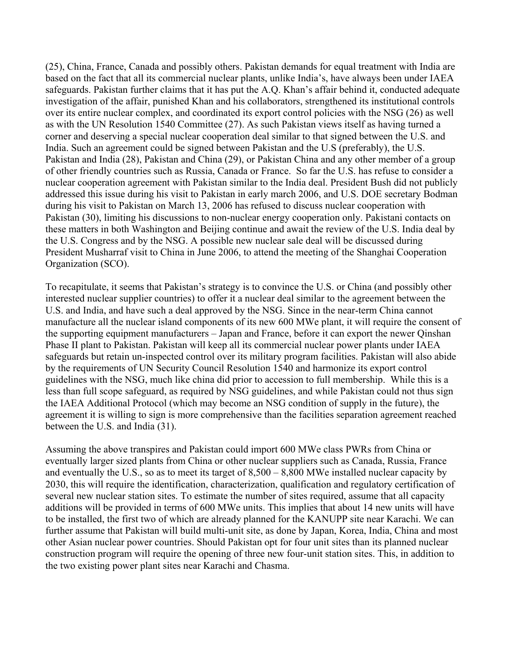(25), China, France, Canada and possibly others. Pakistan demands for equal treatment with India are based on the fact that all its commercial nuclear plants, unlike India's, have always been under IAEA safeguards. Pakistan further claims that it has put the A.Q. Khan's affair behind it, conducted adequate investigation of the affair, punished Khan and his collaborators, strengthened its institutional controls over its entire nuclear complex, and coordinated its export control policies with the NSG (26) as well as with the UN Resolution 1540 Committee (27). As such Pakistan views itself as having turned a corner and deserving a special nuclear cooperation deal similar to that signed between the U.S. and India. Such an agreement could be signed between Pakistan and the U.S (preferably), the U.S. Pakistan and India (28), Pakistan and China (29), or Pakistan China and any other member of a group of other friendly countries such as Russia, Canada or France. So far the U.S. has refuse to consider a nuclear cooperation agreement with Pakistan similar to the India deal. President Bush did not publicly addressed this issue during his visit to Pakistan in early march 2006, and U.S. DOE secretary Bodman during his visit to Pakistan on March 13, 2006 has refused to discuss nuclear cooperation with Pakistan (30), limiting his discussions to non-nuclear energy cooperation only. Pakistani contacts on these matters in both Washington and Beijing continue and await the review of the U.S. India deal by the U.S. Congress and by the NSG. A possible new nuclear sale deal will be discussed during President Musharraf visit to China in June 2006, to attend the meeting of the Shanghai Cooperation Organization (SCO).

To recapitulate, it seems that Pakistan's strategy is to convince the U.S. or China (and possibly other interested nuclear supplier countries) to offer it a nuclear deal similar to the agreement between the U.S. and India, and have such a deal approved by the NSG. Since in the near-term China cannot manufacture all the nuclear island components of its new 600 MWe plant, it will require the consent of the supporting equipment manufacturers – Japan and France, before it can export the newer Qinshan Phase II plant to Pakistan. Pakistan will keep all its commercial nuclear power plants under IAEA safeguards but retain un-inspected control over its military program facilities. Pakistan will also abide by the requirements of UN Security Council Resolution 1540 and harmonize its export control guidelines with the NSG, much like china did prior to accession to full membership. While this is a less than full scope safeguard, as required by NSG guidelines, and while Pakistan could not thus sign the IAEA Additional Protocol (which may become an NSG condition of supply in the future), the agreement it is willing to sign is more comprehensive than the facilities separation agreement reached between the U.S. and India (31).

Assuming the above transpires and Pakistan could import 600 MWe class PWRs from China or eventually larger sized plants from China or other nuclear suppliers such as Canada, Russia, France and eventually the U.S., so as to meet its target of 8,500 – 8,800 MWe installed nuclear capacity by 2030, this will require the identification, characterization, qualification and regulatory certification of several new nuclear station sites. To estimate the number of sites required, assume that all capacity additions will be provided in terms of 600 MWe units. This implies that about 14 new units will have to be installed, the first two of which are already planned for the KANUPP site near Karachi. We can further assume that Pakistan will build multi-unit site, as done by Japan, Korea, India, China and most other Asian nuclear power countries. Should Pakistan opt for four unit sites than its planned nuclear construction program will require the opening of three new four-unit station sites. This, in addition to the two existing power plant sites near Karachi and Chasma.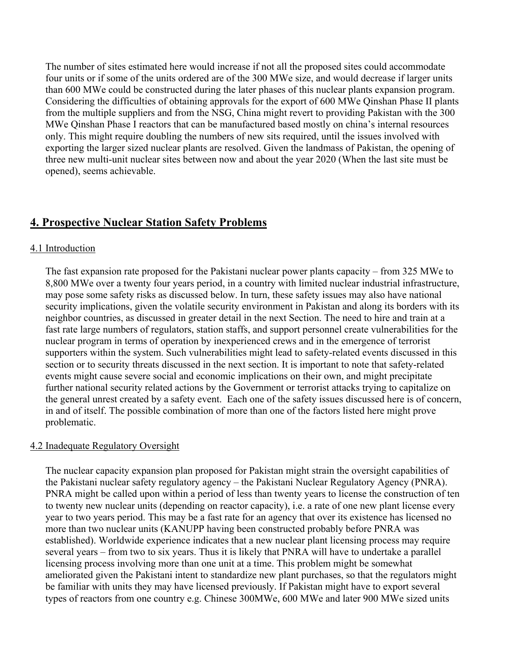The number of sites estimated here would increase if not all the proposed sites could accommodate four units or if some of the units ordered are of the 300 MWe size, and would decrease if larger units than 600 MWe could be constructed during the later phases of this nuclear plants expansion program. Considering the difficulties of obtaining approvals for the export of 600 MWe Qinshan Phase II plants from the multiple suppliers and from the NSG, China might revert to providing Pakistan with the 300 MWe Qinshan Phase I reactors that can be manufactured based mostly on china's internal resources only. This might require doubling the numbers of new sits required, until the issues involved with exporting the larger sized nuclear plants are resolved. Given the landmass of Pakistan, the opening of three new multi-unit nuclear sites between now and about the year 2020 (When the last site must be opened), seems achievable.

## **4. Prospective Nuclear Station Safety Problems**

## 4.1 Introduction

The fast expansion rate proposed for the Pakistani nuclear power plants capacity – from 325 MWe to 8,800 MWe over a twenty four years period, in a country with limited nuclear industrial infrastructure, may pose some safety risks as discussed below. In turn, these safety issues may also have national security implications, given the volatile security environment in Pakistan and along its borders with its neighbor countries, as discussed in greater detail in the next Section. The need to hire and train at a fast rate large numbers of regulators, station staffs, and support personnel create vulnerabilities for the nuclear program in terms of operation by inexperienced crews and in the emergence of terrorist supporters within the system. Such vulnerabilities might lead to safety-related events discussed in this section or to security threats discussed in the next section. It is important to note that safety-related events might cause severe social and economic implications on their own, and might precipitate further national security related actions by the Government or terrorist attacks trying to capitalize on the general unrest created by a safety event. Each one of the safety issues discussed here is of concern, in and of itself. The possible combination of more than one of the factors listed here might prove problematic.

## 4.2 Inadequate Regulatory Oversight

The nuclear capacity expansion plan proposed for Pakistan might strain the oversight capabilities of the Pakistani nuclear safety regulatory agency – the Pakistani Nuclear Regulatory Agency (PNRA). PNRA might be called upon within a period of less than twenty years to license the construction of ten to twenty new nuclear units (depending on reactor capacity), i.e. a rate of one new plant license every year to two years period. This may be a fast rate for an agency that over its existence has licensed no more than two nuclear units (KANUPP having been constructed probably before PNRA was established). Worldwide experience indicates that a new nuclear plant licensing process may require several years – from two to six years. Thus it is likely that PNRA will have to undertake a parallel licensing process involving more than one unit at a time. This problem might be somewhat ameliorated given the Pakistani intent to standardize new plant purchases, so that the regulators might be familiar with units they may have licensed previously. If Pakistan might have to export several types of reactors from one country e.g. Chinese 300MWe, 600 MWe and later 900 MWe sized units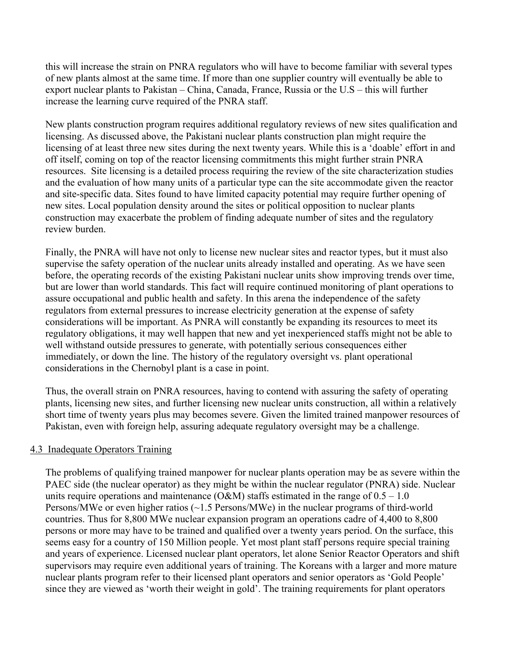this will increase the strain on PNRA regulators who will have to become familiar with several types of new plants almost at the same time. If more than one supplier country will eventually be able to export nuclear plants to Pakistan – China, Canada, France, Russia or the U.S – this will further increase the learning curve required of the PNRA staff.

New plants construction program requires additional regulatory reviews of new sites qualification and licensing. As discussed above, the Pakistani nuclear plants construction plan might require the licensing of at least three new sites during the next twenty years. While this is a 'doable' effort in and off itself, coming on top of the reactor licensing commitments this might further strain PNRA resources. Site licensing is a detailed process requiring the review of the site characterization studies and the evaluation of how many units of a particular type can the site accommodate given the reactor and site-specific data. Sites found to have limited capacity potential may require further opening of new sites. Local population density around the sites or political opposition to nuclear plants construction may exacerbate the problem of finding adequate number of sites and the regulatory review burden.

Finally, the PNRA will have not only to license new nuclear sites and reactor types, but it must also supervise the safety operation of the nuclear units already installed and operating. As we have seen before, the operating records of the existing Pakistani nuclear units show improving trends over time, but are lower than world standards. This fact will require continued monitoring of plant operations to assure occupational and public health and safety. In this arena the independence of the safety regulators from external pressures to increase electricity generation at the expense of safety considerations will be important. As PNRA will constantly be expanding its resources to meet its regulatory obligations, it may well happen that new and yet inexperienced staffs might not be able to well withstand outside pressures to generate, with potentially serious consequences either immediately, or down the line. The history of the regulatory oversight vs. plant operational considerations in the Chernobyl plant is a case in point.

Thus, the overall strain on PNRA resources, having to contend with assuring the safety of operating plants, licensing new sites, and further licensing new nuclear units construction, all within a relatively short time of twenty years plus may becomes severe. Given the limited trained manpower resources of Pakistan, even with foreign help, assuring adequate regulatory oversight may be a challenge.

## 4.3 Inadequate Operators Training

The problems of qualifying trained manpower for nuclear plants operation may be as severe within the PAEC side (the nuclear operator) as they might be within the nuclear regulator (PNRA) side. Nuclear units require operations and maintenance (O&M) staffs estimated in the range of  $0.5 - 1.0$ Persons/MWe or even higher ratios (~1.5 Persons/MWe) in the nuclear programs of third-world countries. Thus for 8,800 MWe nuclear expansion program an operations cadre of 4,400 to 8,800 persons or more may have to be trained and qualified over a twenty years period. On the surface, this seems easy for a country of 150 Million people. Yet most plant staff persons require special training and years of experience. Licensed nuclear plant operators, let alone Senior Reactor Operators and shift supervisors may require even additional years of training. The Koreans with a larger and more mature nuclear plants program refer to their licensed plant operators and senior operators as 'Gold People' since they are viewed as 'worth their weight in gold'. The training requirements for plant operators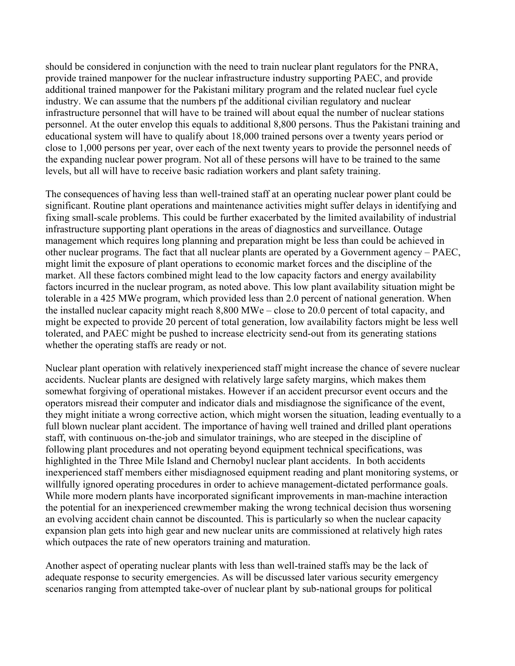should be considered in conjunction with the need to train nuclear plant regulators for the PNRA, provide trained manpower for the nuclear infrastructure industry supporting PAEC, and provide additional trained manpower for the Pakistani military program and the related nuclear fuel cycle industry. We can assume that the numbers pf the additional civilian regulatory and nuclear infrastructure personnel that will have to be trained will about equal the number of nuclear stations personnel. At the outer envelop this equals to additional 8,800 persons. Thus the Pakistani training and educational system will have to qualify about 18,000 trained persons over a twenty years period or close to 1,000 persons per year, over each of the next twenty years to provide the personnel needs of the expanding nuclear power program. Not all of these persons will have to be trained to the same levels, but all will have to receive basic radiation workers and plant safety training.

The consequences of having less than well-trained staff at an operating nuclear power plant could be significant. Routine plant operations and maintenance activities might suffer delays in identifying and fixing small-scale problems. This could be further exacerbated by the limited availability of industrial infrastructure supporting plant operations in the areas of diagnostics and surveillance. Outage management which requires long planning and preparation might be less than could be achieved in other nuclear programs. The fact that all nuclear plants are operated by a Government agency – PAEC, might limit the exposure of plant operations to economic market forces and the discipline of the market. All these factors combined might lead to the low capacity factors and energy availability factors incurred in the nuclear program, as noted above. This low plant availability situation might be tolerable in a 425 MWe program, which provided less than 2.0 percent of national generation. When the installed nuclear capacity might reach 8,800 MWe – close to 20.0 percent of total capacity, and might be expected to provide 20 percent of total generation, low availability factors might be less well tolerated, and PAEC might be pushed to increase electricity send-out from its generating stations whether the operating staffs are ready or not.

Nuclear plant operation with relatively inexperienced staff might increase the chance of severe nuclear accidents. Nuclear plants are designed with relatively large safety margins, which makes them somewhat forgiving of operational mistakes. However if an accident precursor event occurs and the operators misread their computer and indicator dials and misdiagnose the significance of the event, they might initiate a wrong corrective action, which might worsen the situation, leading eventually to a full blown nuclear plant accident. The importance of having well trained and drilled plant operations staff, with continuous on-the-job and simulator trainings, who are steeped in the discipline of following plant procedures and not operating beyond equipment technical specifications, was highlighted in the Three Mile Island and Chernobyl nuclear plant accidents. In both accidents inexperienced staff members either misdiagnosed equipment reading and plant monitoring systems, or willfully ignored operating procedures in order to achieve management-dictated performance goals. While more modern plants have incorporated significant improvements in man-machine interaction the potential for an inexperienced crewmember making the wrong technical decision thus worsening an evolving accident chain cannot be discounted. This is particularly so when the nuclear capacity expansion plan gets into high gear and new nuclear units are commissioned at relatively high rates which outpaces the rate of new operators training and maturation.

Another aspect of operating nuclear plants with less than well-trained staffs may be the lack of adequate response to security emergencies. As will be discussed later various security emergency scenarios ranging from attempted take-over of nuclear plant by sub-national groups for political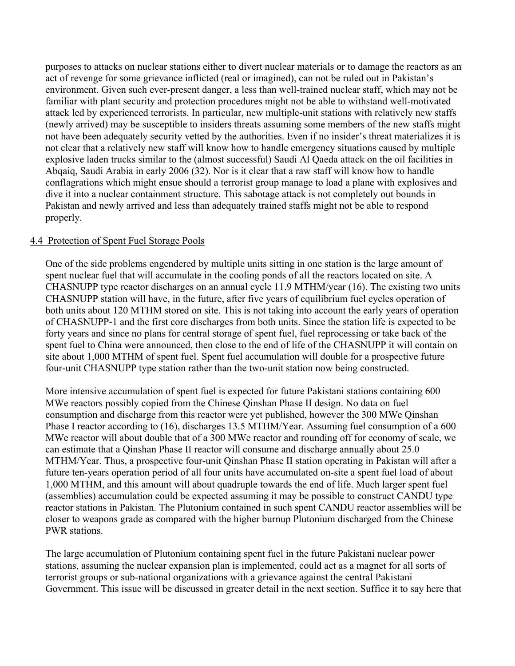purposes to attacks on nuclear stations either to divert nuclear materials or to damage the reactors as an act of revenge for some grievance inflicted (real or imagined), can not be ruled out in Pakistan's environment. Given such ever-present danger, a less than well-trained nuclear staff, which may not be familiar with plant security and protection procedures might not be able to withstand well-motivated attack led by experienced terrorists. In particular, new multiple-unit stations with relatively new staffs (newly arrived) may be susceptible to insiders threats assuming some members of the new staffs might not have been adequately security vetted by the authorities. Even if no insider's threat materializes it is not clear that a relatively new staff will know how to handle emergency situations caused by multiple explosive laden trucks similar to the (almost successful) Saudi Al Qaeda attack on the oil facilities in Abqaiq, Saudi Arabia in early 2006 (32). Nor is it clear that a raw staff will know how to handle conflagrations which might ensue should a terrorist group manage to load a plane with explosives and dive it into a nuclear containment structure. This sabotage attack is not completely out bounds in Pakistan and newly arrived and less than adequately trained staffs might not be able to respond properly.

#### 4.4 Protection of Spent Fuel Storage Pools

One of the side problems engendered by multiple units sitting in one station is the large amount of spent nuclear fuel that will accumulate in the cooling ponds of all the reactors located on site. A CHASNUPP type reactor discharges on an annual cycle 11.9 MTHM/year (16). The existing two units CHASNUPP station will have, in the future, after five years of equilibrium fuel cycles operation of both units about 120 MTHM stored on site. This is not taking into account the early years of operation of CHASNUPP-1 and the first core discharges from both units. Since the station life is expected to be forty years and since no plans for central storage of spent fuel, fuel reprocessing or take back of the spent fuel to China were announced, then close to the end of life of the CHASNUPP it will contain on site about 1,000 MTHM of spent fuel. Spent fuel accumulation will double for a prospective future four-unit CHASNUPP type station rather than the two-unit station now being constructed.

More intensive accumulation of spent fuel is expected for future Pakistani stations containing 600 MWe reactors possibly copied from the Chinese Qinshan Phase II design. No data on fuel consumption and discharge from this reactor were yet published, however the 300 MWe Qinshan Phase I reactor according to (16), discharges 13.5 MTHM/Year. Assuming fuel consumption of a 600 MWe reactor will about double that of a 300 MWe reactor and rounding off for economy of scale, we can estimate that a Qinshan Phase II reactor will consume and discharge annually about 25.0 MTHM/Year. Thus, a prospective four-unit Qinshan Phase II station operating in Pakistan will after a future ten-years operation period of all four units have accumulated on-site a spent fuel load of about 1,000 MTHM, and this amount will about quadruple towards the end of life. Much larger spent fuel (assemblies) accumulation could be expected assuming it may be possible to construct CANDU type reactor stations in Pakistan. The Plutonium contained in such spent CANDU reactor assemblies will be closer to weapons grade as compared with the higher burnup Plutonium discharged from the Chinese PWR stations.

The large accumulation of Plutonium containing spent fuel in the future Pakistani nuclear power stations, assuming the nuclear expansion plan is implemented, could act as a magnet for all sorts of terrorist groups or sub-national organizations with a grievance against the central Pakistani Government. This issue will be discussed in greater detail in the next section. Suffice it to say here that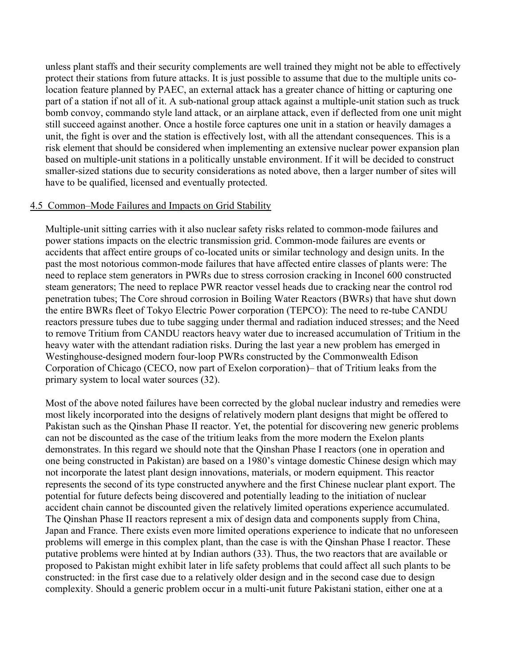unless plant staffs and their security complements are well trained they might not be able to effectively protect their stations from future attacks. It is just possible to assume that due to the multiple units colocation feature planned by PAEC, an external attack has a greater chance of hitting or capturing one part of a station if not all of it. A sub-national group attack against a multiple-unit station such as truck bomb convoy, commando style land attack, or an airplane attack, even if deflected from one unit might still succeed against another. Once a hostile force captures one unit in a station or heavily damages a unit, the fight is over and the station is effectively lost, with all the attendant consequences. This is a risk element that should be considered when implementing an extensive nuclear power expansion plan based on multiple-unit stations in a politically unstable environment. If it will be decided to construct smaller-sized stations due to security considerations as noted above, then a larger number of sites will have to be qualified, licensed and eventually protected.

#### 4.5 Common–Mode Failures and Impacts on Grid Stability

Multiple-unit sitting carries with it also nuclear safety risks related to common-mode failures and power stations impacts on the electric transmission grid. Common-mode failures are events or accidents that affect entire groups of co-located units or similar technology and design units. In the past the most notorious common-mode failures that have affected entire classes of plants were: The need to replace stem generators in PWRs due to stress corrosion cracking in Inconel 600 constructed steam generators; The need to replace PWR reactor vessel heads due to cracking near the control rod penetration tubes; The Core shroud corrosion in Boiling Water Reactors (BWRs) that have shut down the entire BWRs fleet of Tokyo Electric Power corporation (TEPCO): The need to re-tube CANDU reactors pressure tubes due to tube sagging under thermal and radiation induced stresses; and the Need to remove Tritium from CANDU reactors heavy water due to increased accumulation of Tritium in the heavy water with the attendant radiation risks. During the last year a new problem has emerged in Westinghouse-designed modern four-loop PWRs constructed by the Commonwealth Edison Corporation of Chicago (CECO, now part of Exelon corporation)– that of Tritium leaks from the primary system to local water sources (32).

Most of the above noted failures have been corrected by the global nuclear industry and remedies were most likely incorporated into the designs of relatively modern plant designs that might be offered to Pakistan such as the Qinshan Phase II reactor. Yet, the potential for discovering new generic problems can not be discounted as the case of the tritium leaks from the more modern the Exelon plants demonstrates. In this regard we should note that the Qinshan Phase I reactors (one in operation and one being constructed in Pakistan) are based on a 1980's vintage domestic Chinese design which may not incorporate the latest plant design innovations, materials, or modern equipment. This reactor represents the second of its type constructed anywhere and the first Chinese nuclear plant export. The potential for future defects being discovered and potentially leading to the initiation of nuclear accident chain cannot be discounted given the relatively limited operations experience accumulated. The Qinshan Phase II reactors represent a mix of design data and components supply from China, Japan and France. There exists even more limited operations experience to indicate that no unforeseen problems will emerge in this complex plant, than the case is with the Qinshan Phase I reactor. These putative problems were hinted at by Indian authors (33). Thus, the two reactors that are available or proposed to Pakistan might exhibit later in life safety problems that could affect all such plants to be constructed: in the first case due to a relatively older design and in the second case due to design complexity. Should a generic problem occur in a multi-unit future Pakistani station, either one at a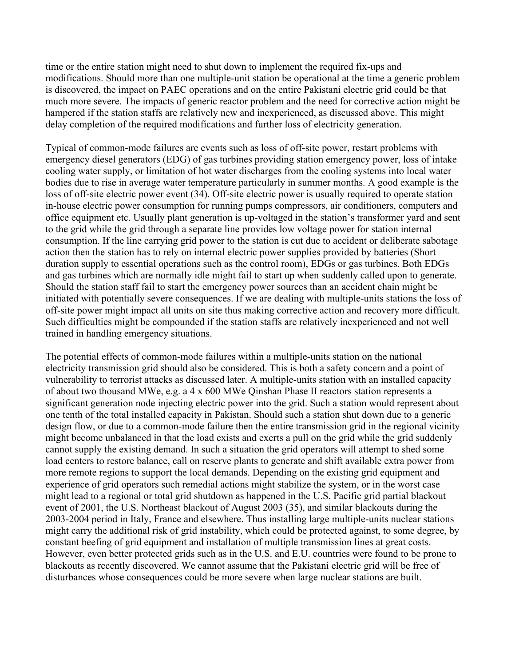time or the entire station might need to shut down to implement the required fix-ups and modifications. Should more than one multiple-unit station be operational at the time a generic problem is discovered, the impact on PAEC operations and on the entire Pakistani electric grid could be that much more severe. The impacts of generic reactor problem and the need for corrective action might be hampered if the station staffs are relatively new and inexperienced, as discussed above. This might delay completion of the required modifications and further loss of electricity generation.

Typical of common-mode failures are events such as loss of off-site power, restart problems with emergency diesel generators (EDG) of gas turbines providing station emergency power, loss of intake cooling water supply, or limitation of hot water discharges from the cooling systems into local water bodies due to rise in average water temperature particularly in summer months. A good example is the loss of off-site electric power event (34). Off-site electric power is usually required to operate station in-house electric power consumption for running pumps compressors, air conditioners, computers and office equipment etc. Usually plant generation is up-voltaged in the station's transformer yard and sent to the grid while the grid through a separate line provides low voltage power for station internal consumption. If the line carrying grid power to the station is cut due to accident or deliberate sabotage action then the station has to rely on internal electric power supplies provided by batteries (Short duration supply to essential operations such as the control room), EDGs or gas turbines. Both EDGs and gas turbines which are normally idle might fail to start up when suddenly called upon to generate. Should the station staff fail to start the emergency power sources than an accident chain might be initiated with potentially severe consequences. If we are dealing with multiple-units stations the loss of off-site power might impact all units on site thus making corrective action and recovery more difficult. Such difficulties might be compounded if the station staffs are relatively inexperienced and not well trained in handling emergency situations.

The potential effects of common-mode failures within a multiple-units station on the national electricity transmission grid should also be considered. This is both a safety concern and a point of vulnerability to terrorist attacks as discussed later. A multiple-units station with an installed capacity of about two thousand MWe, e.g. a 4 x 600 MWe Qinshan Phase II reactors station represents a significant generation node injecting electric power into the grid. Such a station would represent about one tenth of the total installed capacity in Pakistan. Should such a station shut down due to a generic design flow, or due to a common-mode failure then the entire transmission grid in the regional vicinity might become unbalanced in that the load exists and exerts a pull on the grid while the grid suddenly cannot supply the existing demand. In such a situation the grid operators will attempt to shed some load centers to restore balance, call on reserve plants to generate and shift available extra power from more remote regions to support the local demands. Depending on the existing grid equipment and experience of grid operators such remedial actions might stabilize the system, or in the worst case might lead to a regional or total grid shutdown as happened in the U.S. Pacific grid partial blackout event of 2001, the U.S. Northeast blackout of August 2003 (35), and similar blackouts during the 2003-2004 period in Italy, France and elsewhere. Thus installing large multiple-units nuclear stations might carry the additional risk of grid instability, which could be protected against, to some degree, by constant beefing of grid equipment and installation of multiple transmission lines at great costs. However, even better protected grids such as in the U.S. and E.U. countries were found to be prone to blackouts as recently discovered. We cannot assume that the Pakistani electric grid will be free of disturbances whose consequences could be more severe when large nuclear stations are built.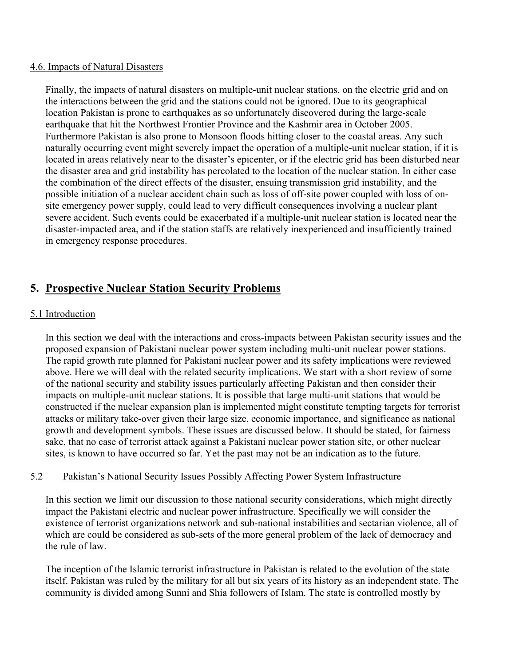#### 4.6. Impacts of Natural Disasters

Finally, the impacts of natural disasters on multiple-unit nuclear stations, on the electric grid and on the interactions between the grid and the stations could not be ignored. Due to its geographical location Pakistan is prone to earthquakes as so unfortunately discovered during the large-scale earthquake that hit the Northwest Frontier Province and the Kashmir area in October 2005. Furthermore Pakistan is also prone to Monsoon floods hitting closer to the coastal areas. Any such naturally occurring event might severely impact the operation of a multiple-unit nuclear station, if it is located in areas relatively near to the disaster's epicenter, or if the electric grid has been disturbed near the disaster area and grid instability has percolated to the location of the nuclear station. In either case the combination of the direct effects of the disaster, ensuing transmission grid instability, and the possible initiation of a nuclear accident chain such as loss of off-site power coupled with loss of onsite emergency power supply, could lead to very difficult consequences involving a nuclear plant severe accident. Such events could be exacerbated if a multiple-unit nuclear station is located near the disaster-impacted area, and if the station staffs are relatively inexperienced and insufficiently trained in emergency response procedures.

## **5. Prospective Nuclear Station Security Problems**

#### 5.1 Introduction

In this section we deal with the interactions and cross-impacts between Pakistan security issues and the proposed expansion of Pakistani nuclear power system including multi-unit nuclear power stations. The rapid growth rate planned for Pakistani nuclear power and its safety implications were reviewed above. Here we will deal with the related security implications. We start with a short review of some of the national security and stability issues particularly affecting Pakistan and then consider their impacts on multiple-unit nuclear stations. It is possible that large multi-unit stations that would be constructed if the nuclear expansion plan is implemented might constitute tempting targets for terrorist attacks or military take-over given their large size, economic importance, and significance as national growth and development symbols. These issues are discussed below. It should be stated, for fairness sake, that no case of terrorist attack against a Pakistani nuclear power station site, or other nuclear sites, is known to have occurred so far. Yet the past may not be an indication as to the future.

#### 5.2 Pakistan's National Security Issues Possibly Affecting Power System Infrastructure

In this section we limit our discussion to those national security considerations, which might directly impact the Pakistani electric and nuclear power infrastructure. Specifically we will consider the existence of terrorist organizations network and sub-national instabilities and sectarian violence, all of which are could be considered as sub-sets of the more general problem of the lack of democracy and the rule of law.

The inception of the Islamic terrorist infrastructure in Pakistan is related to the evolution of the state itself. Pakistan was ruled by the military for all but six years of its history as an independent state. The community is divided among Sunni and Shia followers of Islam. The state is controlled mostly by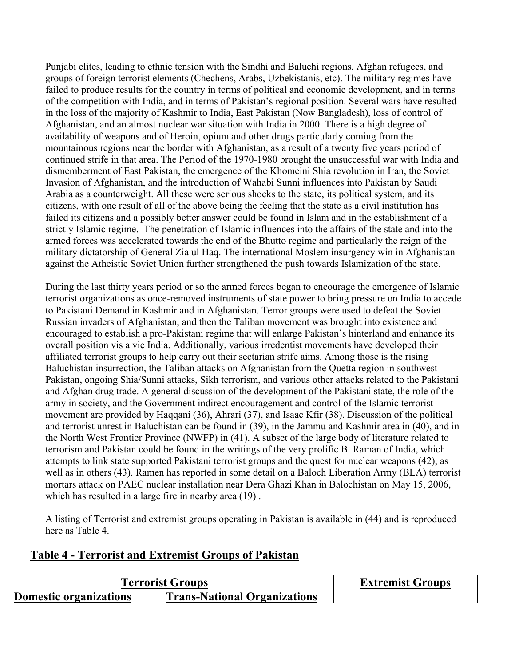Punjabi elites, leading to ethnic tension with the Sindhi and Baluchi regions, Afghan refugees, and groups of foreign terrorist elements (Chechens, Arabs, Uzbekistanis, etc). The military regimes have failed to produce results for the country in terms of political and economic development, and in terms of the competition with India, and in terms of Pakistan's regional position. Several wars have resulted in the loss of the majority of Kashmir to India, East Pakistan (Now Bangladesh), loss of control of Afghanistan, and an almost nuclear war situation with India in 2000. There is a high degree of availability of weapons and of Heroin, opium and other drugs particularly coming from the mountainous regions near the border with Afghanistan, as a result of a twenty five years period of continued strife in that area. The Period of the 1970-1980 brought the unsuccessful war with India and dismemberment of East Pakistan, the emergence of the Khomeini Shia revolution in Iran, the Soviet Invasion of Afghanistan, and the introduction of Wahabi Sunni influences into Pakistan by Saudi Arabia as a counterweight. All these were serious shocks to the state, its political system, and its citizens, with one result of all of the above being the feeling that the state as a civil institution has failed its citizens and a possibly better answer could be found in Islam and in the establishment of a strictly Islamic regime. The penetration of Islamic influences into the affairs of the state and into the armed forces was accelerated towards the end of the Bhutto regime and particularly the reign of the military dictatorship of General Zia ul Haq. The international Moslem insurgency win in Afghanistan against the Atheistic Soviet Union further strengthened the push towards Islamization of the state.

During the last thirty years period or so the armed forces began to encourage the emergence of Islamic terrorist organizations as once-removed instruments of state power to bring pressure on India to accede to Pakistani Demand in Kashmir and in Afghanistan. Terror groups were used to defeat the Soviet Russian invaders of Afghanistan, and then the Taliban movement was brought into existence and encouraged to establish a pro-Pakistani regime that will enlarge Pakistan's hinterland and enhance its overall position vis a vie India. Additionally, various irredentist movements have developed their affiliated terrorist groups to help carry out their sectarian strife aims. Among those is the rising Baluchistan insurrection, the Taliban attacks on Afghanistan from the Quetta region in southwest Pakistan, ongoing Shia/Sunni attacks, Sikh terrorism, and various other attacks related to the Pakistani and Afghan drug trade. A general discussion of the development of the Pakistani state, the role of the army in society, and the Government indirect encouragement and control of the Islamic terrorist movement are provided by Haqqani (36), Ahrari (37), and Isaac Kfir (38). Discussion of the political and terrorist unrest in Baluchistan can be found in (39), in the Jammu and Kashmir area in (40), and in the North West Frontier Province (NWFP) in (41). A subset of the large body of literature related to terrorism and Pakistan could be found in the writings of the very prolific B. Raman of India, which attempts to link state supported Pakistani terrorist groups and the quest for nuclear weapons (42), as well as in others (43). Ramen has reported in some detail on a Baloch Liberation Army (BLA) terrorist mortars attack on PAEC nuclear installation near Dera Ghazi Khan in Balochistan on May 15, 2006, which has resulted in a large fire in nearby area (19) .

A listing of Terrorist and extremist groups operating in Pakistan is available in (44) and is reproduced here as Table 4.

## **Table 4 - Terrorist and Extremist Groups of Pakistan**

| <b>Terrorist Groups</b>       | <b>Extremist Groups</b>             |  |
|-------------------------------|-------------------------------------|--|
| <b>Domestic organizations</b> | <b>Trans-National Organizations</b> |  |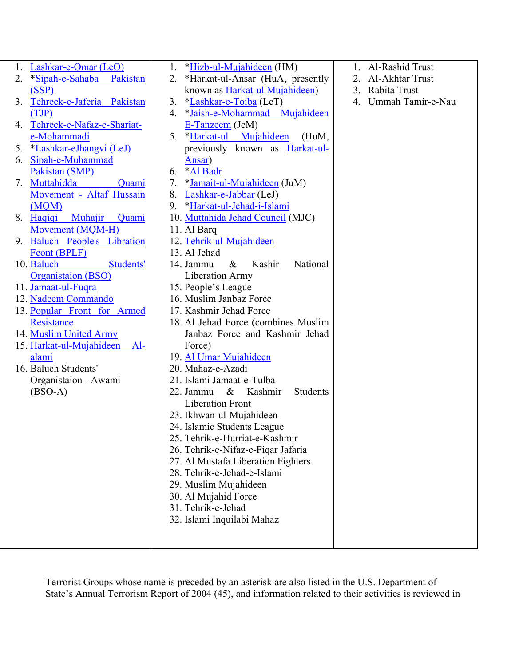|    | 1. Lashkar-e-Omar (LeO)         |    | 1. *Hizb-ul-Mujahideen (HM)              | $1_{-}$ | Al-Rashid Trust      |
|----|---------------------------------|----|------------------------------------------|---------|----------------------|
| 2. | *Sipah-e-Sahaba<br>Pakistan     | 2. | *Harkat-ul-Ansar (HuA, presently         | 2.      | Al-Akhtar Trust      |
|    | (SSP)                           |    | known as Harkat-ul Mujahideen)           | 3.      | Rabita Trust         |
| 3. | Tehreek-e-Jaferia Pakistan      | 3. | *Lashkar-e-Toiba (LeT)                   |         | 4. Ummah Tamir-e-Nau |
|    | (TJP)                           | 4. | *Jaish-e-Mohammad Mujahideen             |         |                      |
| 4. | Tehreek-e-Nafaz-e-Shariat-      |    | $E-Tanzeem$ (JeM)                        |         |                      |
|    | e-Mohammadi                     | 5. | *Harkat-ul Mujahideen<br>(HuM,           |         |                      |
| 5. | *Lashkar-eJhangvi (LeJ)         |    | previously known as Harkat-ul-           |         |                      |
| 6. | Sipah-e-Muhammad                |    | Ansar)                                   |         |                      |
|    | Pakistan (SMP)                  | 6. | *Al Badr                                 |         |                      |
| 7. | Muttahidda<br>Quami             | 7. | *Jamait-ul-Mujahideen (JuM)              |         |                      |
|    | Movement - Altaf Hussain        |    | 8. Lashkar-e-Jabbar (LeJ)                |         |                      |
|    | (MQM)                           | 9. | *Harkat-ul-Jehad-i-Islami                |         |                      |
|    | 8. Haqiqi<br>Muhajir<br>Quami   |    | 10. Muttahida Jehad Council (MJC)        |         |                      |
|    | Movement (MQM-H)                |    | 11. Al Barq                              |         |                      |
| 9. | Baluch People's Libration       |    | 12. Tehrik-ul-Mujahideen                 |         |                      |
|    | Feont (BPLF)                    |    | 13. Al Jehad                             |         |                      |
|    | 10. Baluch<br>Students'         |    | $\&$<br>Kashir<br>National<br>14. Jammu  |         |                      |
|    | Organistaion (BSO)              |    | <b>Liberation Army</b>                   |         |                      |
|    | 11. Jamaat-ul-Fuqra             |    | 15. People's League                      |         |                      |
|    | 12. Nadeem Commando             |    | 16. Muslim Janbaz Force                  |         |                      |
|    | 13. Popular Front for Armed     |    | 17. Kashmir Jehad Force                  |         |                      |
|    | Resistance                      |    | 18. Al Jehad Force (combines Muslim)     |         |                      |
|    | 14. Muslim United Army          |    | Janbaz Force and Kashmir Jehad           |         |                      |
|    | 15. Harkat-ul-Mujahideen<br>Al- |    | Force)                                   |         |                      |
|    | alami                           |    | 19. Al Umar Mujahideen                   |         |                      |
|    | 16. Baluch Students'            |    | 20. Mahaz-e-Azadi                        |         |                      |
|    | Organistaion - Awami            |    | 21. Islami Jamaat-e-Tulba                |         |                      |
|    | $(BSO-A)$                       |    | $\&$<br>Kashmir<br>22. Jammu<br>Students |         |                      |
|    |                                 |    | <b>Liberation Front</b>                  |         |                      |
|    |                                 |    | 23. Ikhwan-ul-Mujahideen                 |         |                      |
|    |                                 |    | 24. Islamic Students League              |         |                      |
|    |                                 |    | 25. Tehrik-e-Hurriat-e-Kashmir           |         |                      |
|    |                                 |    | 26. Tehrik-e-Nifaz-e-Fiqar Jafaria       |         |                      |
|    |                                 |    | 27. Al Mustafa Liberation Fighters       |         |                      |
|    |                                 |    | 28. Tehrik-e-Jehad-e-Islami              |         |                      |
|    |                                 |    | 29. Muslim Mujahideen                    |         |                      |
|    |                                 |    | 30. Al Mujahid Force                     |         |                      |
|    |                                 |    | 31. Tehrik-e-Jehad                       |         |                      |
|    |                                 |    | 32. Islami Inquilabi Mahaz               |         |                      |
|    |                                 |    |                                          |         |                      |
|    |                                 |    |                                          |         |                      |

Terrorist Groups whose name is preceded by an asterisk are also listed in the U.S. Department of State's Annual Terrorism Report of 2004 (45), and information related to their activities is reviewed in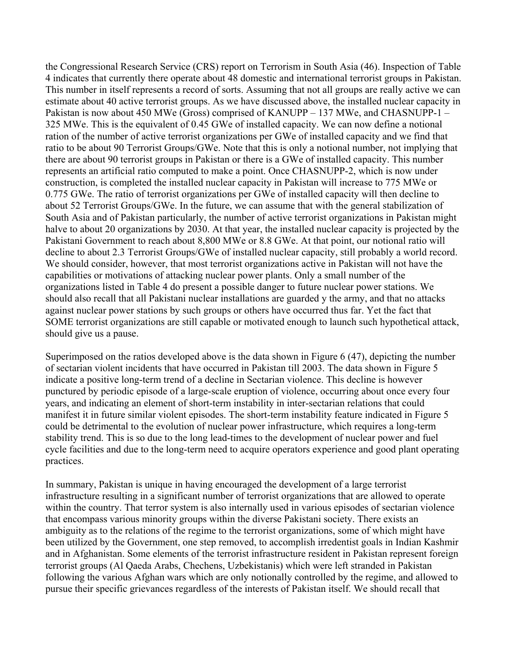the Congressional Research Service (CRS) report on Terrorism in South Asia (46). Inspection of Table 4 indicates that currently there operate about 48 domestic and international terrorist groups in Pakistan. This number in itself represents a record of sorts. Assuming that not all groups are really active we can estimate about 40 active terrorist groups. As we have discussed above, the installed nuclear capacity in Pakistan is now about 450 MWe (Gross) comprised of KANUPP – 137 MWe, and CHASNUPP-1 – 325 MWe. This is the equivalent of 0.45 GWe of installed capacity. We can now define a notional ration of the number of active terrorist organizations per GWe of installed capacity and we find that ratio to be about 90 Terrorist Groups/GWe. Note that this is only a notional number, not implying that there are about 90 terrorist groups in Pakistan or there is a GWe of installed capacity. This number represents an artificial ratio computed to make a point. Once CHASNUPP-2, which is now under construction, is completed the installed nuclear capacity in Pakistan will increase to 775 MWe or 0.775 GWe. The ratio of terrorist organizations per GWe of installed capacity will then decline to about 52 Terrorist Groups/GWe. In the future, we can assume that with the general stabilization of South Asia and of Pakistan particularly, the number of active terrorist organizations in Pakistan might halve to about 20 organizations by 2030. At that year, the installed nuclear capacity is projected by the Pakistani Government to reach about 8,800 MWe or 8.8 GWe. At that point, our notional ratio will decline to about 2.3 Terrorist Groups/GWe of installed nuclear capacity, still probably a world record. We should consider, however, that most terrorist organizations active in Pakistan will not have the capabilities or motivations of attacking nuclear power plants. Only a small number of the organizations listed in Table 4 do present a possible danger to future nuclear power stations. We should also recall that all Pakistani nuclear installations are guarded y the army, and that no attacks against nuclear power stations by such groups or others have occurred thus far. Yet the fact that SOME terrorist organizations are still capable or motivated enough to launch such hypothetical attack, should give us a pause.

Superimposed on the ratios developed above is the data shown in Figure 6 (47), depicting the number of sectarian violent incidents that have occurred in Pakistan till 2003. The data shown in Figure 5 indicate a positive long-term trend of a decline in Sectarian violence. This decline is however punctured by periodic episode of a large-scale eruption of violence, occurring about once every four years, and indicating an element of short-term instability in inter-sectarian relations that could manifest it in future similar violent episodes. The short-term instability feature indicated in Figure 5 could be detrimental to the evolution of nuclear power infrastructure, which requires a long-term stability trend. This is so due to the long lead-times to the development of nuclear power and fuel cycle facilities and due to the long-term need to acquire operators experience and good plant operating practices.

In summary, Pakistan is unique in having encouraged the development of a large terrorist infrastructure resulting in a significant number of terrorist organizations that are allowed to operate within the country. That terror system is also internally used in various episodes of sectarian violence that encompass various minority groups within the diverse Pakistani society. There exists an ambiguity as to the relations of the regime to the terrorist organizations, some of which might have been utilized by the Government, one step removed, to accomplish irredentist goals in Indian Kashmir and in Afghanistan. Some elements of the terrorist infrastructure resident in Pakistan represent foreign terrorist groups (Al Qaeda Arabs, Chechens, Uzbekistanis) which were left stranded in Pakistan following the various Afghan wars which are only notionally controlled by the regime, and allowed to pursue their specific grievances regardless of the interests of Pakistan itself. We should recall that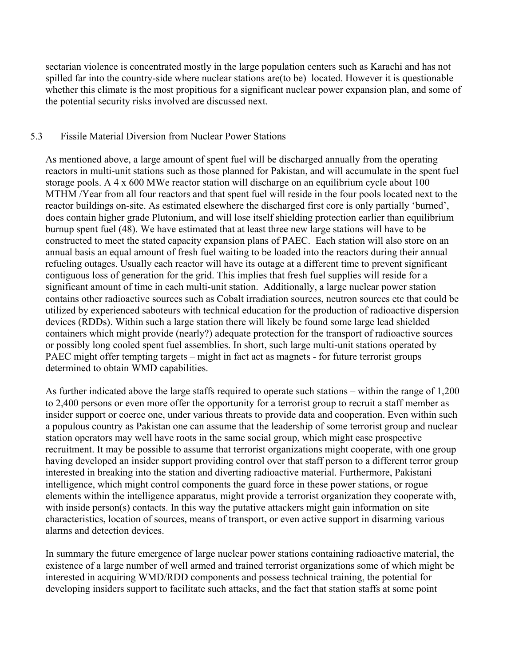sectarian violence is concentrated mostly in the large population centers such as Karachi and has not spilled far into the country-side where nuclear stations are(to be) located. However it is questionable whether this climate is the most propitious for a significant nuclear power expansion plan, and some of the potential security risks involved are discussed next.

#### 5.3 Fissile Material Diversion from Nuclear Power Stations

As mentioned above, a large amount of spent fuel will be discharged annually from the operating reactors in multi-unit stations such as those planned for Pakistan, and will accumulate in the spent fuel storage pools. A 4 x 600 MWe reactor station will discharge on an equilibrium cycle about 100 MTHM /Year from all four reactors and that spent fuel will reside in the four pools located next to the reactor buildings on-site. As estimated elsewhere the discharged first core is only partially 'burned', does contain higher grade Plutonium, and will lose itself shielding protection earlier than equilibrium burnup spent fuel (48). We have estimated that at least three new large stations will have to be constructed to meet the stated capacity expansion plans of PAEC. Each station will also store on an annual basis an equal amount of fresh fuel waiting to be loaded into the reactors during their annual refueling outages. Usually each reactor will have its outage at a different time to prevent significant contiguous loss of generation for the grid. This implies that fresh fuel supplies will reside for a significant amount of time in each multi-unit station. Additionally, a large nuclear power station contains other radioactive sources such as Cobalt irradiation sources, neutron sources etc that could be utilized by experienced saboteurs with technical education for the production of radioactive dispersion devices (RDDs). Within such a large station there will likely be found some large lead shielded containers which might provide (nearly?) adequate protection for the transport of radioactive sources or possibly long cooled spent fuel assemblies. In short, such large multi-unit stations operated by PAEC might offer tempting targets – might in fact act as magnets - for future terrorist groups determined to obtain WMD capabilities.

As further indicated above the large staffs required to operate such stations – within the range of 1,200 to 2,400 persons or even more offer the opportunity for a terrorist group to recruit a staff member as insider support or coerce one, under various threats to provide data and cooperation. Even within such a populous country as Pakistan one can assume that the leadership of some terrorist group and nuclear station operators may well have roots in the same social group, which might ease prospective recruitment. It may be possible to assume that terrorist organizations might cooperate, with one group having developed an insider support providing control over that staff person to a different terror group interested in breaking into the station and diverting radioactive material. Furthermore, Pakistani intelligence, which might control components the guard force in these power stations, or rogue elements within the intelligence apparatus, might provide a terrorist organization they cooperate with, with inside person(s) contacts. In this way the putative attackers might gain information on site characteristics, location of sources, means of transport, or even active support in disarming various alarms and detection devices.

In summary the future emergence of large nuclear power stations containing radioactive material, the existence of a large number of well armed and trained terrorist organizations some of which might be interested in acquiring WMD/RDD components and possess technical training, the potential for developing insiders support to facilitate such attacks, and the fact that station staffs at some point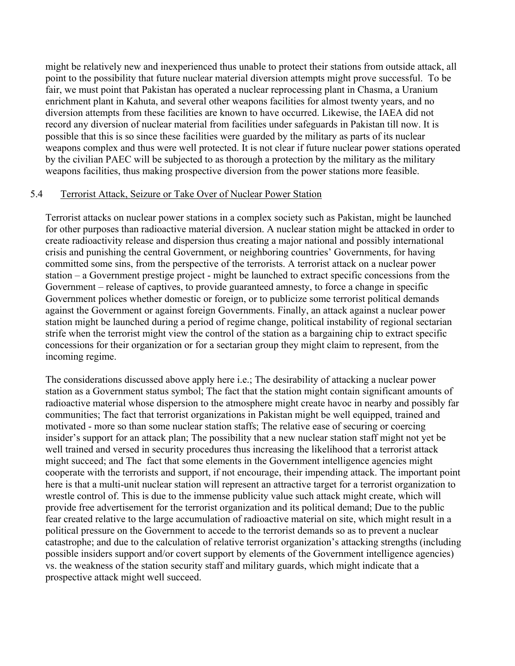might be relatively new and inexperienced thus unable to protect their stations from outside attack, all point to the possibility that future nuclear material diversion attempts might prove successful. To be fair, we must point that Pakistan has operated a nuclear reprocessing plant in Chasma, a Uranium enrichment plant in Kahuta, and several other weapons facilities for almost twenty years, and no diversion attempts from these facilities are known to have occurred. Likewise, the IAEA did not record any diversion of nuclear material from facilities under safeguards in Pakistan till now. It is possible that this is so since these facilities were guarded by the military as parts of its nuclear weapons complex and thus were well protected. It is not clear if future nuclear power stations operated by the civilian PAEC will be subjected to as thorough a protection by the military as the military weapons facilities, thus making prospective diversion from the power stations more feasible.

#### 5.4 Terrorist Attack, Seizure or Take Over of Nuclear Power Station

Terrorist attacks on nuclear power stations in a complex society such as Pakistan, might be launched for other purposes than radioactive material diversion. A nuclear station might be attacked in order to create radioactivity release and dispersion thus creating a major national and possibly international crisis and punishing the central Government, or neighboring countries' Governments, for having committed some sins, from the perspective of the terrorists. A terrorist attack on a nuclear power station – a Government prestige project - might be launched to extract specific concessions from the Government – release of captives, to provide guaranteed amnesty, to force a change in specific Government polices whether domestic or foreign, or to publicize some terrorist political demands against the Government or against foreign Governments. Finally, an attack against a nuclear power station might be launched during a period of regime change, political instability of regional sectarian strife when the terrorist might view the control of the station as a bargaining chip to extract specific concessions for their organization or for a sectarian group they might claim to represent, from the incoming regime.

The considerations discussed above apply here i.e.; The desirability of attacking a nuclear power station as a Government status symbol; The fact that the station might contain significant amounts of radioactive material whose dispersion to the atmosphere might create havoc in nearby and possibly far communities; The fact that terrorist organizations in Pakistan might be well equipped, trained and motivated - more so than some nuclear station staffs; The relative ease of securing or coercing insider's support for an attack plan; The possibility that a new nuclear station staff might not yet be well trained and versed in security procedures thus increasing the likelihood that a terrorist attack might succeed; and The fact that some elements in the Government intelligence agencies might cooperate with the terrorists and support, if not encourage, their impending attack. The important point here is that a multi-unit nuclear station will represent an attractive target for a terrorist organization to wrestle control of. This is due to the immense publicity value such attack might create, which will provide free advertisement for the terrorist organization and its political demand; Due to the public fear created relative to the large accumulation of radioactive material on site, which might result in a political pressure on the Government to accede to the terrorist demands so as to prevent a nuclear catastrophe; and due to the calculation of relative terrorist organization's attacking strengths (including possible insiders support and/or covert support by elements of the Government intelligence agencies) vs. the weakness of the station security staff and military guards, which might indicate that a prospective attack might well succeed.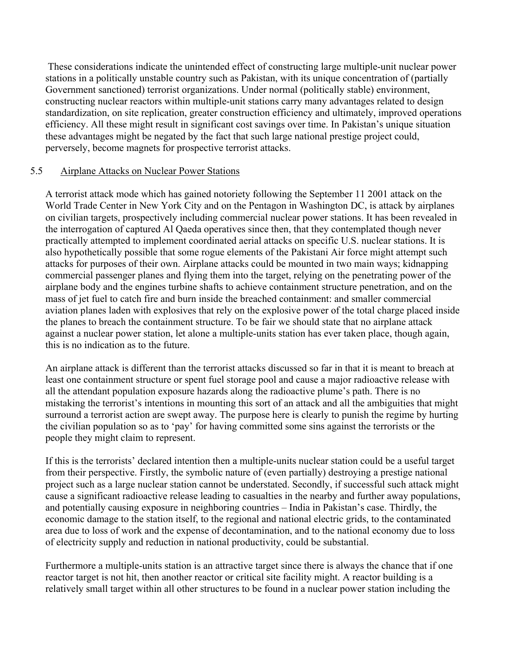These considerations indicate the unintended effect of constructing large multiple-unit nuclear power stations in a politically unstable country such as Pakistan, with its unique concentration of (partially Government sanctioned) terrorist organizations. Under normal (politically stable) environment, constructing nuclear reactors within multiple-unit stations carry many advantages related to design standardization, on site replication, greater construction efficiency and ultimately, improved operations efficiency. All these might result in significant cost savings over time. In Pakistan's unique situation these advantages might be negated by the fact that such large national prestige project could, perversely, become magnets for prospective terrorist attacks.

#### 5.5 Airplane Attacks on Nuclear Power Stations

A terrorist attack mode which has gained notoriety following the September 11 2001 attack on the World Trade Center in New York City and on the Pentagon in Washington DC, is attack by airplanes on civilian targets, prospectively including commercial nuclear power stations. It has been revealed in the interrogation of captured Al Qaeda operatives since then, that they contemplated though never practically attempted to implement coordinated aerial attacks on specific U.S. nuclear stations. It is also hypothetically possible that some rogue elements of the Pakistani Air force might attempt such attacks for purposes of their own. Airplane attacks could be mounted in two main ways; kidnapping commercial passenger planes and flying them into the target, relying on the penetrating power of the airplane body and the engines turbine shafts to achieve containment structure penetration, and on the mass of jet fuel to catch fire and burn inside the breached containment: and smaller commercial aviation planes laden with explosives that rely on the explosive power of the total charge placed inside the planes to breach the containment structure. To be fair we should state that no airplane attack against a nuclear power station, let alone a multiple-units station has ever taken place, though again, this is no indication as to the future.

An airplane attack is different than the terrorist attacks discussed so far in that it is meant to breach at least one containment structure or spent fuel storage pool and cause a major radioactive release with all the attendant population exposure hazards along the radioactive plume's path. There is no mistaking the terrorist's intentions in mounting this sort of an attack and all the ambiguities that might surround a terrorist action are swept away. The purpose here is clearly to punish the regime by hurting the civilian population so as to 'pay' for having committed some sins against the terrorists or the people they might claim to represent.

If this is the terrorists' declared intention then a multiple-units nuclear station could be a useful target from their perspective. Firstly, the symbolic nature of (even partially) destroying a prestige national project such as a large nuclear station cannot be understated. Secondly, if successful such attack might cause a significant radioactive release leading to casualties in the nearby and further away populations, and potentially causing exposure in neighboring countries – India in Pakistan's case. Thirdly, the economic damage to the station itself, to the regional and national electric grids, to the contaminated area due to loss of work and the expense of decontamination, and to the national economy due to loss of electricity supply and reduction in national productivity, could be substantial.

Furthermore a multiple-units station is an attractive target since there is always the chance that if one reactor target is not hit, then another reactor or critical site facility might. A reactor building is a relatively small target within all other structures to be found in a nuclear power station including the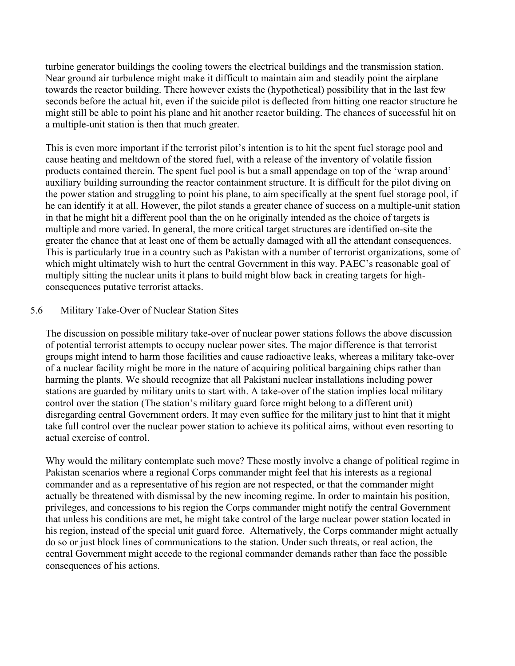turbine generator buildings the cooling towers the electrical buildings and the transmission station. Near ground air turbulence might make it difficult to maintain aim and steadily point the airplane towards the reactor building. There however exists the (hypothetical) possibility that in the last few seconds before the actual hit, even if the suicide pilot is deflected from hitting one reactor structure he might still be able to point his plane and hit another reactor building. The chances of successful hit on a multiple-unit station is then that much greater.

This is even more important if the terrorist pilot's intention is to hit the spent fuel storage pool and cause heating and meltdown of the stored fuel, with a release of the inventory of volatile fission products contained therein. The spent fuel pool is but a small appendage on top of the 'wrap around' auxiliary building surrounding the reactor containment structure. It is difficult for the pilot diving on the power station and struggling to point his plane, to aim specifically at the spent fuel storage pool, if he can identify it at all. However, the pilot stands a greater chance of success on a multiple-unit station in that he might hit a different pool than the on he originally intended as the choice of targets is multiple and more varied. In general, the more critical target structures are identified on-site the greater the chance that at least one of them be actually damaged with all the attendant consequences. This is particularly true in a country such as Pakistan with a number of terrorist organizations, some of which might ultimately wish to hurt the central Government in this way. PAEC's reasonable goal of multiply sitting the nuclear units it plans to build might blow back in creating targets for highconsequences putative terrorist attacks.

## 5.6 Military Take-Over of Nuclear Station Sites

The discussion on possible military take-over of nuclear power stations follows the above discussion of potential terrorist attempts to occupy nuclear power sites. The major difference is that terrorist groups might intend to harm those facilities and cause radioactive leaks, whereas a military take-over of a nuclear facility might be more in the nature of acquiring political bargaining chips rather than harming the plants. We should recognize that all Pakistani nuclear installations including power stations are guarded by military units to start with. A take-over of the station implies local military control over the station (The station's military guard force might belong to a different unit) disregarding central Government orders. It may even suffice for the military just to hint that it might take full control over the nuclear power station to achieve its political aims, without even resorting to actual exercise of control.

Why would the military contemplate such move? These mostly involve a change of political regime in Pakistan scenarios where a regional Corps commander might feel that his interests as a regional commander and as a representative of his region are not respected, or that the commander might actually be threatened with dismissal by the new incoming regime. In order to maintain his position, privileges, and concessions to his region the Corps commander might notify the central Government that unless his conditions are met, he might take control of the large nuclear power station located in his region, instead of the special unit guard force. Alternatively, the Corps commander might actually do so or just block lines of communications to the station. Under such threats, or real action, the central Government might accede to the regional commander demands rather than face the possible consequences of his actions.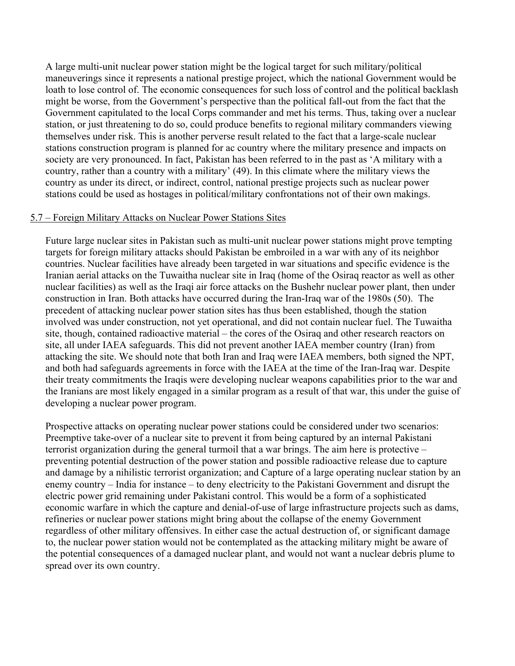A large multi-unit nuclear power station might be the logical target for such military/political maneuverings since it represents a national prestige project, which the national Government would be loath to lose control of. The economic consequences for such loss of control and the political backlash might be worse, from the Government's perspective than the political fall-out from the fact that the Government capitulated to the local Corps commander and met his terms. Thus, taking over a nuclear station, or just threatening to do so, could produce benefits to regional military commanders viewing themselves under risk. This is another perverse result related to the fact that a large-scale nuclear stations construction program is planned for ac country where the military presence and impacts on society are very pronounced. In fact, Pakistan has been referred to in the past as 'A military with a country, rather than a country with a military' (49). In this climate where the military views the country as under its direct, or indirect, control, national prestige projects such as nuclear power stations could be used as hostages in political/military confrontations not of their own makings.

## 5.7 – Foreign Military Attacks on Nuclear Power Stations Sites

Future large nuclear sites in Pakistan such as multi-unit nuclear power stations might prove tempting targets for foreign military attacks should Pakistan be embroiled in a war with any of its neighbor countries. Nuclear facilities have already been targeted in war situations and specific evidence is the Iranian aerial attacks on the Tuwaitha nuclear site in Iraq (home of the Osiraq reactor as well as other nuclear facilities) as well as the Iraqi air force attacks on the Bushehr nuclear power plant, then under construction in Iran. Both attacks have occurred during the Iran-Iraq war of the 1980s (50). The precedent of attacking nuclear power station sites has thus been established, though the station involved was under construction, not yet operational, and did not contain nuclear fuel. The Tuwaitha site, though, contained radioactive material – the cores of the Osiraq and other research reactors on site, all under IAEA safeguards. This did not prevent another IAEA member country (Iran) from attacking the site. We should note that both Iran and Iraq were IAEA members, both signed the NPT, and both had safeguards agreements in force with the IAEA at the time of the Iran-Iraq war. Despite their treaty commitments the Iraqis were developing nuclear weapons capabilities prior to the war and the Iranians are most likely engaged in a similar program as a result of that war, this under the guise of developing a nuclear power program.

Prospective attacks on operating nuclear power stations could be considered under two scenarios: Preemptive take-over of a nuclear site to prevent it from being captured by an internal Pakistani terrorist organization during the general turmoil that a war brings. The aim here is protective – preventing potential destruction of the power station and possible radioactive release due to capture and damage by a nihilistic terrorist organization; and Capture of a large operating nuclear station by an enemy country – India for instance – to deny electricity to the Pakistani Government and disrupt the electric power grid remaining under Pakistani control. This would be a form of a sophisticated economic warfare in which the capture and denial-of-use of large infrastructure projects such as dams, refineries or nuclear power stations might bring about the collapse of the enemy Government regardless of other military offensives. In either case the actual destruction of, or significant damage to, the nuclear power station would not be contemplated as the attacking military might be aware of the potential consequences of a damaged nuclear plant, and would not want a nuclear debris plume to spread over its own country.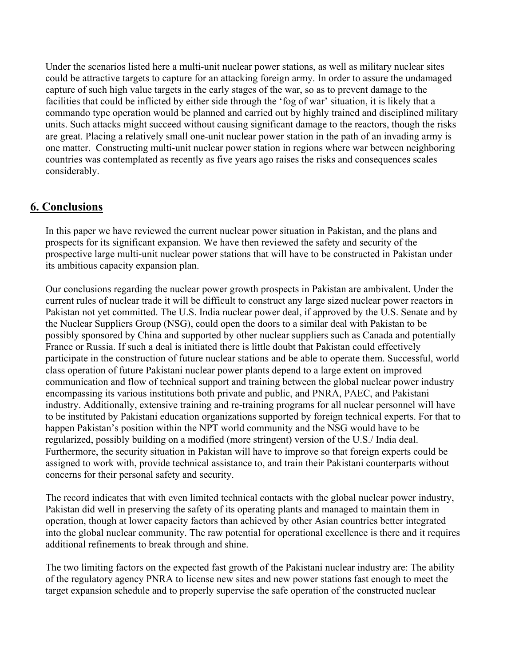Under the scenarios listed here a multi-unit nuclear power stations, as well as military nuclear sites could be attractive targets to capture for an attacking foreign army. In order to assure the undamaged capture of such high value targets in the early stages of the war, so as to prevent damage to the facilities that could be inflicted by either side through the 'fog of war' situation, it is likely that a commando type operation would be planned and carried out by highly trained and disciplined military units. Such attacks might succeed without causing significant damage to the reactors, though the risks are great. Placing a relatively small one-unit nuclear power station in the path of an invading army is one matter. Constructing multi-unit nuclear power station in regions where war between neighboring countries was contemplated as recently as five years ago raises the risks and consequences scales considerably.

## **6. Conclusions**

In this paper we have reviewed the current nuclear power situation in Pakistan, and the plans and prospects for its significant expansion. We have then reviewed the safety and security of the prospective large multi-unit nuclear power stations that will have to be constructed in Pakistan under its ambitious capacity expansion plan.

Our conclusions regarding the nuclear power growth prospects in Pakistan are ambivalent. Under the current rules of nuclear trade it will be difficult to construct any large sized nuclear power reactors in Pakistan not yet committed. The U.S. India nuclear power deal, if approved by the U.S. Senate and by the Nuclear Suppliers Group (NSG), could open the doors to a similar deal with Pakistan to be possibly sponsored by China and supported by other nuclear suppliers such as Canada and potentially France or Russia. If such a deal is initiated there is little doubt that Pakistan could effectively participate in the construction of future nuclear stations and be able to operate them. Successful, world class operation of future Pakistani nuclear power plants depend to a large extent on improved communication and flow of technical support and training between the global nuclear power industry encompassing its various institutions both private and public, and PNRA, PAEC, and Pakistani industry. Additionally, extensive training and re-training programs for all nuclear personnel will have to be instituted by Pakistani education organizations supported by foreign technical experts. For that to happen Pakistan's position within the NPT world community and the NSG would have to be regularized, possibly building on a modified (more stringent) version of the U.S./ India deal. Furthermore, the security situation in Pakistan will have to improve so that foreign experts could be assigned to work with, provide technical assistance to, and train their Pakistani counterparts without concerns for their personal safety and security.

The record indicates that with even limited technical contacts with the global nuclear power industry, Pakistan did well in preserving the safety of its operating plants and managed to maintain them in operation, though at lower capacity factors than achieved by other Asian countries better integrated into the global nuclear community. The raw potential for operational excellence is there and it requires additional refinements to break through and shine.

The two limiting factors on the expected fast growth of the Pakistani nuclear industry are: The ability of the regulatory agency PNRA to license new sites and new power stations fast enough to meet the target expansion schedule and to properly supervise the safe operation of the constructed nuclear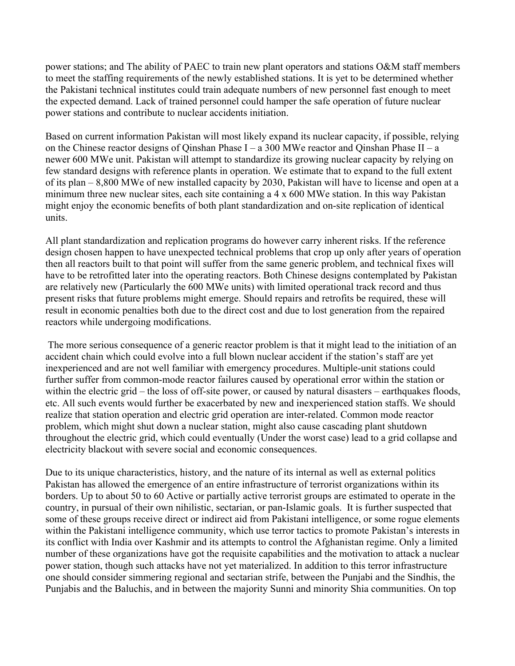power stations; and The ability of PAEC to train new plant operators and stations O&M staff members to meet the staffing requirements of the newly established stations. It is yet to be determined whether the Pakistani technical institutes could train adequate numbers of new personnel fast enough to meet the expected demand. Lack of trained personnel could hamper the safe operation of future nuclear power stations and contribute to nuclear accidents initiation.

Based on current information Pakistan will most likely expand its nuclear capacity, if possible, relying on the Chinese reactor designs of Qinshan Phase  $I - a$  300 MWe reactor and Qinshan Phase  $II - a$ newer 600 MWe unit. Pakistan will attempt to standardize its growing nuclear capacity by relying on few standard designs with reference plants in operation. We estimate that to expand to the full extent of its plan – 8,800 MWe of new installed capacity by 2030, Pakistan will have to license and open at a minimum three new nuclear sites, each site containing a 4 x 600 MWe station. In this way Pakistan might enjoy the economic benefits of both plant standardization and on-site replication of identical units.

All plant standardization and replication programs do however carry inherent risks. If the reference design chosen happen to have unexpected technical problems that crop up only after years of operation then all reactors built to that point will suffer from the same generic problem, and technical fixes will have to be retrofitted later into the operating reactors. Both Chinese designs contemplated by Pakistan are relatively new (Particularly the 600 MWe units) with limited operational track record and thus present risks that future problems might emerge. Should repairs and retrofits be required, these will result in economic penalties both due to the direct cost and due to lost generation from the repaired reactors while undergoing modifications.

 The more serious consequence of a generic reactor problem is that it might lead to the initiation of an accident chain which could evolve into a full blown nuclear accident if the station's staff are yet inexperienced and are not well familiar with emergency procedures. Multiple-unit stations could further suffer from common-mode reactor failures caused by operational error within the station or within the electric grid – the loss of off-site power, or caused by natural disasters – earthquakes floods, etc. All such events would further be exacerbated by new and inexperienced station staffs. We should realize that station operation and electric grid operation are inter-related. Common mode reactor problem, which might shut down a nuclear station, might also cause cascading plant shutdown throughout the electric grid, which could eventually (Under the worst case) lead to a grid collapse and electricity blackout with severe social and economic consequences.

Due to its unique characteristics, history, and the nature of its internal as well as external politics Pakistan has allowed the emergence of an entire infrastructure of terrorist organizations within its borders. Up to about 50 to 60 Active or partially active terrorist groups are estimated to operate in the country, in pursual of their own nihilistic, sectarian, or pan-Islamic goals. It is further suspected that some of these groups receive direct or indirect aid from Pakistani intelligence, or some rogue elements within the Pakistani intelligence community, which use terror tactics to promote Pakistan's interests in its conflict with India over Kashmir and its attempts to control the Afghanistan regime. Only a limited number of these organizations have got the requisite capabilities and the motivation to attack a nuclear power station, though such attacks have not yet materialized. In addition to this terror infrastructure one should consider simmering regional and sectarian strife, between the Punjabi and the Sindhis, the Punjabis and the Baluchis, and in between the majority Sunni and minority Shia communities. On top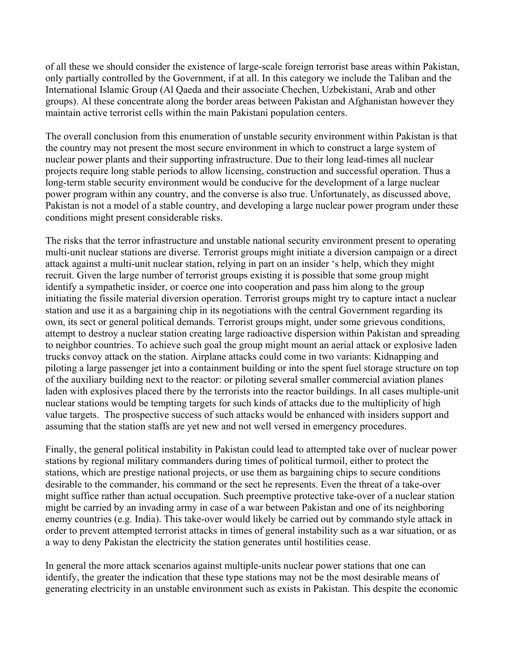of all these we should consider the existence of large-scale foreign terrorist base areas within Pakistan, only partially controlled by the Government, if at all. In this category we include the Taliban and the International Islamic Group (Al Qaeda and their associate Chechen, Uzbekistani, Arab and other groups). Al these concentrate along the border areas between Pakistan and Afghanistan however they maintain active terrorist cells within the main Pakistani population centers.

The overall conclusion from this enumeration of unstable security environment within Pakistan is that the country may not present the most secure environment in which to construct a large system of nuclear power plants and their supporting infrastructure. Due to their long lead-times all nuclear projects require long stable periods to allow licensing, construction and successful operation. Thus a long-term stable security environment would be conducive for the development of a large nuclear power program within any country, and the converse is also true. Unfortunately, as discussed above, Pakistan is not a model of a stable country, and developing a large nuclear power program under these conditions might present considerable risks.

The risks that the terror infrastructure and unstable national security environment present to operating multi-unit nuclear stations are diverse. Terrorist groups might initiate a diversion campaign or a direct attack against a multi-unit nuclear station, relying in part on an insider 's help, which they might recruit. Given the large number of terrorist groups existing it is possible that some group might identify a sympathetic insider, or coerce one into cooperation and pass him along to the group initiating the fissile material diversion operation. Terrorist groups might try to capture intact a nuclear station and use it as a bargaining chip in its negotiations with the central Government regarding its own, its sect or general political demands. Terrorist groups might, under some grievous conditions, attempt to destroy a nuclear station creating large radioactive dispersion within Pakistan and spreading to neighbor countries. To achieve such goal the group might mount an aerial attack or explosive laden trucks convoy attack on the station. Airplane attacks could come in two variants: Kidnapping and piloting a large passenger jet into a containment building or into the spent fuel storage structure on top of the auxiliary building next to the reactor: or piloting several smaller commercial aviation planes laden with explosives placed there by the terrorists into the reactor buildings. In all cases multiple-unit nuclear stations would be tempting targets for such kinds of attacks due to the multiplicity of high value targets. The prospective success of such attacks would be enhanced with insiders support and assuming that the station staffs are yet new and not well versed in emergency procedures.

Finally, the general political instability in Pakistan could lead to attempted take over of nuclear power stations by regional military commanders during times of political turmoil, either to protect the stations, which are prestige national projects, or use them as bargaining chips to secure conditions desirable to the commander, his command or the sect he represents. Even the threat of a take-over might suffice rather than actual occupation. Such preemptive protective take-over of a nuclear station might be carried by an invading army in case of a war between Pakistan and one of its neighboring enemy countries (e.g. India). This take-over would likely be carried out by commando style attack in order to prevent attempted terrorist attacks in times of general instability such as a war situation, or as a way to deny Pakistan the electricity the station generates until hostilities cease.

In general the more attack scenarios against multiple-units nuclear power stations that one can identify, the greater the indication that these type stations may not be the most desirable means of generating electricity in an unstable environment such as exists in Pakistan. This despite the economic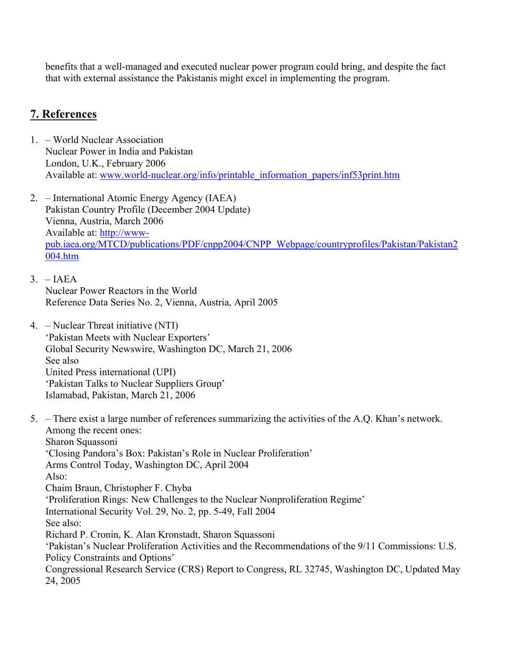benefits that a well-managed and executed nuclear power program could bring, and despite the fact that with external assistance the Pakistanis might excel in implementing the program.

## **7. References**

- 1. World Nuclear Association Nuclear Power in India and Pakistan London, U.K., February 2006 Available at: www.world-nuclear.org/info/printable\_information\_papers/inf53print.htm
- 2. International Atomic Energy Agency (IAEA) Pakistan Country Profile (December 2004 Update) Vienna, Austria, March 2006 Available at: http://wwwpub.iaea.org/MTCD/publications/PDF/cnpp2004/CNPP\_Webpage/countryprofiles/Pakistan/Pakistan2 004.htm
- $3 IABA$ Nuclear Power Reactors in the World Reference Data Series No. 2, Vienna, Austria, April 2005
- 4. Nuclear Threat initiative (NTI) 'Pakistan Meets with Nuclear Exporters' Global Security Newswire, Washington DC, March 21, 2006 See also United Press international (UPI) 'Pakistan Talks to Nuclear Suppliers Group' Islamabad, Pakistan, March 21, 2006
- 5. There exist a large number of references summarizing the activities of the A.Q. Khan's network. Among the recent ones: Sharon Squassoni 'Closing Pandora's Box: Pakistan's Role in Nuclear Proliferation' Arms Control Today, Washington DC, April 2004 Also: Chaim Braun, Christopher F. Chyba 'Proliferation Rings: New Challenges to the Nuclear Nonproliferation Regime' International Security Vol. 29, No. 2, pp. 5-49, Fall 2004 See also: Richard P. Cronin, K. Alan Kronstadt, Sharon Squassoni 'Pakistan's Nuclear Proliferation Activities and the Recommendations of the 9/11 Commissions: U.S. Policy Constraints and Options' Congressional Research Service (CRS) Report to Congress, RL 32745, Washington DC, Updated May 24, 2005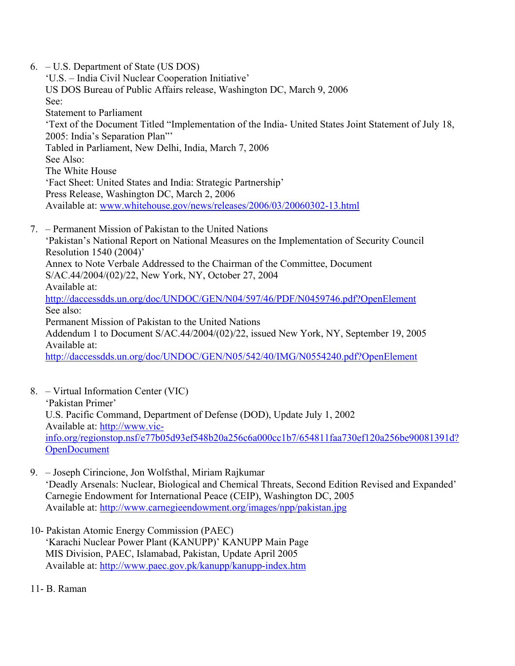- 6. U.S. Department of State (US DOS) 'U.S. – India Civil Nuclear Cooperation Initiative' US DOS Bureau of Public Affairs release, Washington DC, March 9, 2006 See: Statement to Parliament 'Text of the Document Titled "Implementation of the India- United States Joint Statement of July 18, 2005: India's Separation Plan"' Tabled in Parliament, New Delhi, India, March 7, 2006 See Also: The White House 'Fact Sheet: United States and India: Strategic Partnership' Press Release, Washington DC, March 2, 2006 Available at: www.whitehouse.gov/news/releases/2006/03/20060302-13.html
- 7. Permanent Mission of Pakistan to the United Nations 'Pakistan's National Report on National Measures on the Implementation of Security Council Resolution 1540 (2004)' Annex to Note Verbale Addressed to the Chairman of the Committee, Document S/AC.44/2004/(02)/22, New York, NY, October 27, 2004 Available at: http://daccessdds.un.org/doc/UNDOC/GEN/N04/597/46/PDF/N0459746.pdf?OpenElement See also: Permanent Mission of Pakistan to the United Nations Addendum 1 to Document S/AC.44/2004/(02)/22, issued New York, NY, September 19, 2005 Available at: http://daccessdds.un.org/doc/UNDOC/GEN/N05/542/40/IMG/N0554240.pdf?OpenElement
- 8. Virtual Information Center (VIC) 'Pakistan Primer' U.S. Pacific Command, Department of Defense (DOD), Update July 1, 2002 Available at: http://www.vicinfo.org/regionstop.nsf/e77b05d93ef548b20a256c6a000cc1b7/654811faa730ef120a256be90081391d? **OpenDocument**
- 9. Joseph Cirincione, Jon Wolfsthal, Miriam Rajkumar 'Deadly Arsenals: Nuclear, Biological and Chemical Threats, Second Edition Revised and Expanded' Carnegie Endowment for International Peace (CEIP), Washington DC, 2005 Available at: http://www.carnegieendowment.org/images/npp/pakistan.jpg
- 10- Pakistan Atomic Energy Commission (PAEC) 'Karachi Nuclear Power Plant (KANUPP)' KANUPP Main Page MIS Division, PAEC, Islamabad, Pakistan, Update April 2005 Available at: http://www.paec.gov.pk/kanupp/kanupp-index.htm

11- B. Raman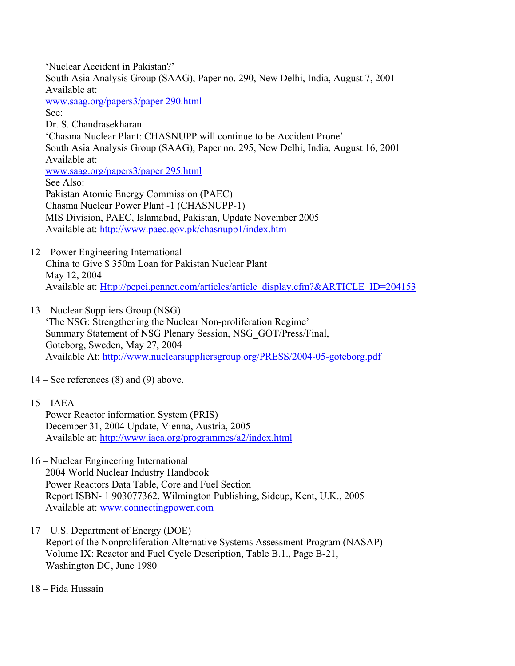'Nuclear Accident in Pakistan?' South Asia Analysis Group (SAAG), Paper no. 290, New Delhi, India, August 7, 2001 Available at: www.saag.org/papers3/paper 290.html See: Dr. S. Chandrasekharan 'Chasma Nuclear Plant: CHASNUPP will continue to be Accident Prone' South Asia Analysis Group (SAAG), Paper no. 295, New Delhi, India, August 16, 2001 Available at: www.saag.org/papers3/paper 295.html See Also: Pakistan Atomic Energy Commission (PAEC) Chasma Nuclear Power Plant -1 (CHASNUPP-1) MIS Division, PAEC, Islamabad, Pakistan, Update November 2005 Available at: http://www.paec.gov.pk/chasnupp1/index.htm

12 – Power Engineering International

 China to Give \$ 350m Loan for Pakistan Nuclear Plant May 12, 2004 Available at: Http://pepei.pennet.com/articles/article\_display.cfm?&ARTICLE\_ID=204153

13 – Nuclear Suppliers Group (NSG)

 'The NSG: Strengthening the Nuclear Non-proliferation Regime' Summary Statement of NSG Plenary Session, NSG\_GOT/Press/Final, Goteborg, Sweden, May 27, 2004 Available At: http://www.nuclearsuppliersgroup.org/PRESS/2004-05-goteborg.pdf

14 – See references (8) and (9) above.

 $15 - IABA$ 

- Power Reactor information System (PRIS) December 31, 2004 Update, Vienna, Austria, 2005 Available at: http://www.iaea.org/programmes/a2/index.html
- 16 Nuclear Engineering International 2004 World Nuclear Industry Handbook Power Reactors Data Table, Core and Fuel Section Report ISBN- 1 903077362, Wilmington Publishing, Sidcup, Kent, U.K., 2005 Available at: www.connectingpower.com
- 17 U.S. Department of Energy (DOE) Report of the Nonproliferation Alternative Systems Assessment Program (NASAP) Volume IX: Reactor and Fuel Cycle Description, Table B.1., Page B-21, Washington DC, June 1980
- 18 Fida Hussain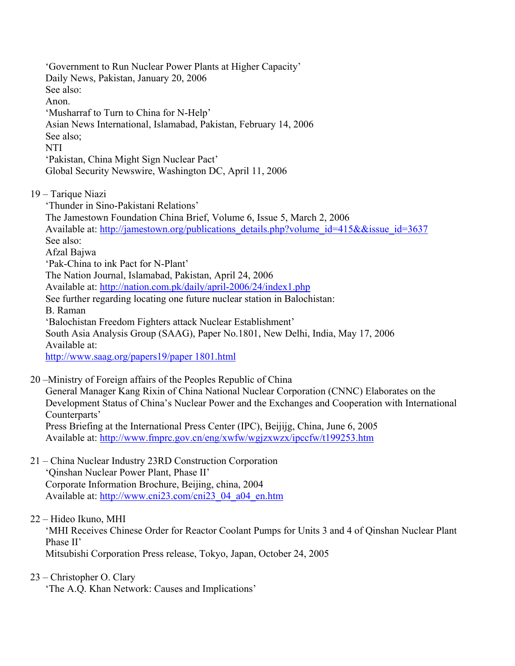'Government to Run Nuclear Power Plants at Higher Capacity' Daily News, Pakistan, January 20, 2006 See also: Anon. 'Musharraf to Turn to China for N-Help' Asian News International, Islamabad, Pakistan, February 14, 2006 See also; NTI 'Pakistan, China Might Sign Nuclear Pact' Global Security Newswire, Washington DC, April 11, 2006

19 – Tarique Niazi

'Thunder in Sino-Pakistani Relations' The Jamestown Foundation China Brief, Volume 6, Issue 5, March 2, 2006 Available at: http://jamestown.org/publications\_details.php?volume\_id=415&&issue\_id=3637 See also: Afzal Bajwa 'Pak-China to ink Pact for N-Plant' The Nation Journal, Islamabad, Pakistan, April 24, 2006 Available at: http://nation.com.pk/daily/april-2006/24/index1.php See further regarding locating one future nuclear station in Balochistan: B. Raman 'Balochistan Freedom Fighters attack Nuclear Establishment' South Asia Analysis Group (SAAG), Paper No.1801, New Delhi, India, May 17, 2006 Available at: http://www.saag.org/papers19/paper 1801.html

20 –Ministry of Foreign affairs of the Peoples Republic of China

General Manager Kang Rixin of China National Nuclear Corporation (CNNC) Elaborates on the Development Status of China's Nuclear Power and the Exchanges and Cooperation with International Counterparts'

Press Briefing at the International Press Center (IPC), Beijijg, China, June 6, 2005 Available at: http://www.fmprc.gov.cn/eng/xwfw/wgjzxwzx/ipccfw/t199253.htm

 21 – China Nuclear Industry 23RD Construction Corporation 'Qinshan Nuclear Power Plant, Phase II' Corporate Information Brochure, Beijing, china, 2004 Available at: http://www.cni23.com/cni23\_04\_a04\_en.htm

22 – Hideo Ikuno, MHI

'MHI Receives Chinese Order for Reactor Coolant Pumps for Units 3 and 4 of Qinshan Nuclear Plant Phase II' Mitsubishi Corporation Press release, Tokyo, Japan, October 24, 2005

23 – Christopher O. Clary

'The A.Q. Khan Network: Causes and Implications'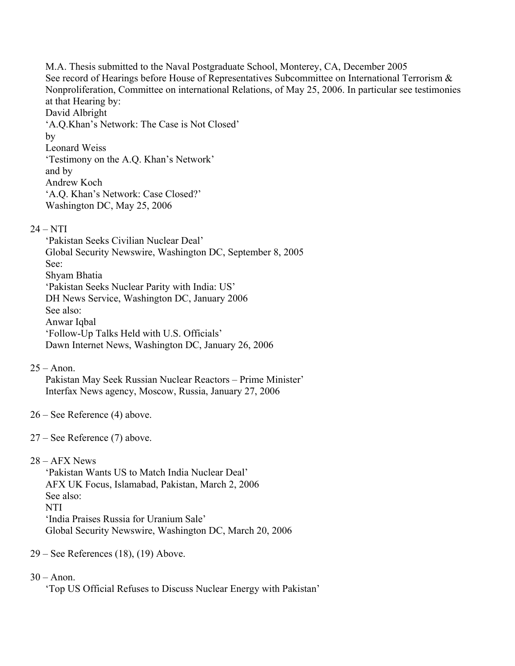M.A. Thesis submitted to the Naval Postgraduate School, Monterey, CA, December 2005 See record of Hearings before House of Representatives Subcommittee on International Terrorism & Nonproliferation, Committee on international Relations, of May 25, 2006. In particular see testimonies at that Hearing by: David Albright 'A.Q.Khan's Network: The Case is Not Closed' by Leonard Weiss 'Testimony on the A.Q. Khan's Network' and by

Andrew Koch 'A.Q. Khan's Network: Case Closed?' Washington DC, May 25, 2006

## 24 – NTI

'Pakistan Seeks Civilian Nuclear Deal' Global Security Newswire, Washington DC, September 8, 2005 See: Shyam Bhatia 'Pakistan Seeks Nuclear Parity with India: US' DH News Service, Washington DC, January 2006 See also: Anwar Iqbal 'Follow-Up Talks Held with U.S. Officials' Dawn Internet News, Washington DC, January 26, 2006

## $25 -$ Anon.

Pakistan May Seek Russian Nuclear Reactors – Prime Minister' Interfax News agency, Moscow, Russia, January 27, 2006

- 26 See Reference (4) above.
- 27 See Reference (7) above.

## 28 – AFX News

'Pakistan Wants US to Match India Nuclear Deal' AFX UK Focus, Islamabad, Pakistan, March 2, 2006 See also: NTI 'India Praises Russia for Uranium Sale' Global Security Newswire, Washington DC, March 20, 2006

29 – See References (18), (19) Above.

## $30 -$ Anon.

'Top US Official Refuses to Discuss Nuclear Energy with Pakistan'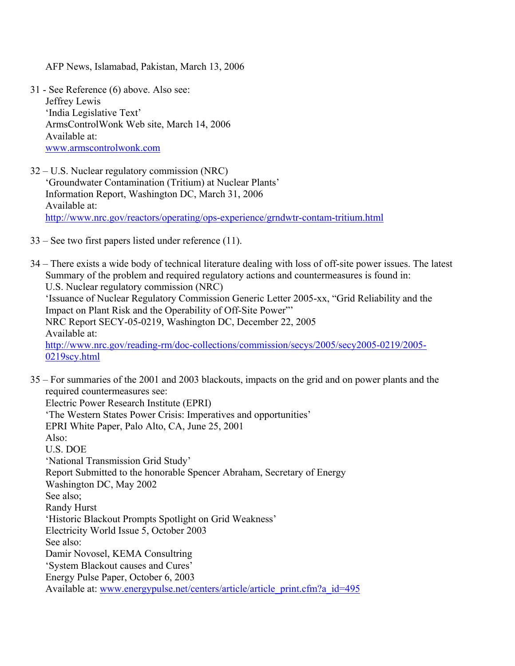AFP News, Islamabad, Pakistan, March 13, 2006

- 31 See Reference (6) above. Also see: Jeffrey Lewis 'India Legislative Text' ArmsControlWonk Web site, March 14, 2006 Available at: www.armscontrolwonk.com
- 32 U.S. Nuclear regulatory commission (NRC) 'Groundwater Contamination (Tritium) at Nuclear Plants' Information Report, Washington DC, March 31, 2006 Available at: http://www.nrc.gov/reactors/operating/ops-experience/grndwtr-contam-tritium.html
- 33 See two first papers listed under reference (11).
- 34 There exists a wide body of technical literature dealing with loss of off-site power issues. The latest Summary of the problem and required regulatory actions and countermeasures is found in: U.S. Nuclear regulatory commission (NRC) 'Issuance of Nuclear Regulatory Commission Generic Letter 2005-xx, "Grid Reliability and the Impact on Plant Risk and the Operability of Off-Site Power"' NRC Report SECY-05-0219, Washington DC, December 22, 2005 Available at: http://www.nrc.gov/reading-rm/doc-collections/commission/secys/2005/secy2005-0219/2005- 0219scy.html
- 35 For summaries of the 2001 and 2003 blackouts, impacts on the grid and on power plants and the required countermeasures see: Electric Power Research Institute (EPRI) 'The Western States Power Crisis: Imperatives and opportunities' EPRI White Paper, Palo Alto, CA, June 25, 2001 Also: U.S. DOE 'National Transmission Grid Study' Report Submitted to the honorable Spencer Abraham, Secretary of Energy Washington DC, May 2002 See also; Randy Hurst 'Historic Blackout Prompts Spotlight on Grid Weakness' Electricity World Issue 5, October 2003 See also: Damir Novosel, KEMA Consultring 'System Blackout causes and Cures' Energy Pulse Paper, October 6, 2003 Available at: www.energypulse.net/centers/article/article\_print.cfm?a\_id=495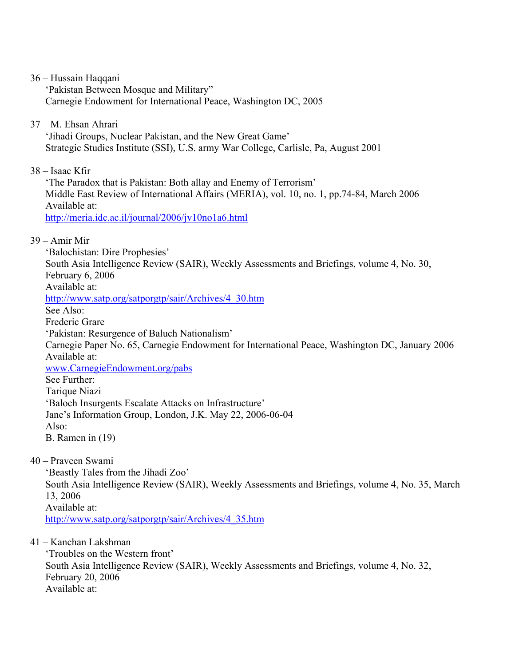36 – Hussain Haqqani

'Pakistan Between Mosque and Military" Carnegie Endowment for International Peace, Washington DC, 2005

37 – M. Ehsan Ahrari

'Jihadi Groups, Nuclear Pakistan, and the New Great Game' Strategic Studies Institute (SSI), U.S. army War College, Carlisle, Pa, August 2001

38 – Isaac Kfir

'The Paradox that is Pakistan: Both allay and Enemy of Terrorism' Middle East Review of International Affairs (MERIA), vol. 10, no. 1, pp.74-84, March 2006 Available at:

http://meria.idc.ac.il/journal/2006/jv10no1a6.html

39 – Amir Mir

'Balochistan: Dire Prophesies'

South Asia Intelligence Review (SAIR), Weekly Assessments and Briefings, volume 4, No. 30, February 6, 2006

Available at:

http://www.satp.org/satporgtp/sair/Archives/4\_30.htm

See Also:

Frederic Grare

'Pakistan: Resurgence of Baluch Nationalism'

Carnegie Paper No. 65, Carnegie Endowment for International Peace, Washington DC, January 2006 Available at:

www.CarnegieEndowment.org/pabs

See Further:

Tarique Niazi

'Baloch Insurgents Escalate Attacks on Infrastructure' Jane's Information Group, London, J.K. May 22, 2006-06-04

Also:

B. Ramen in (19)

40 – Praveen Swami

 'Beastly Tales from the Jihadi Zoo' South Asia Intelligence Review (SAIR), Weekly Assessments and Briefings, volume 4, No. 35, March 13, 2006 Available at: http://www.satp.org/satporgtp/sair/Archives/4\_35.htm

41 – Kanchan Lakshman

 'Troubles on the Western front' South Asia Intelligence Review (SAIR), Weekly Assessments and Briefings, volume 4, No. 32, February 20, 2006 Available at: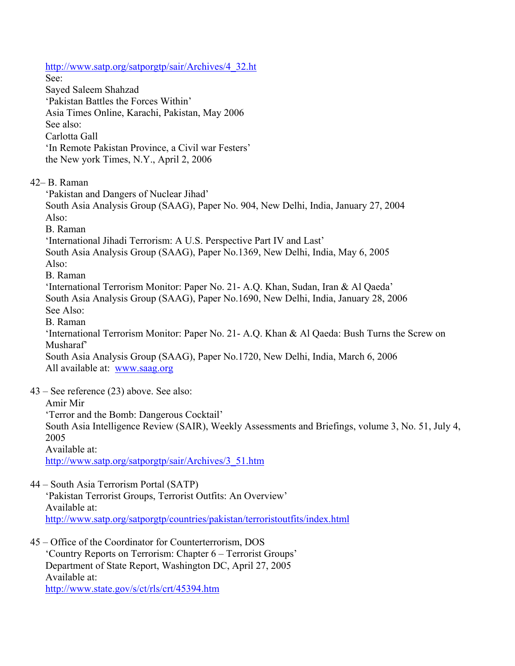http://www.satp.org/satporgtp/sair/Archives/4\_32.ht See: Sayed Saleem Shahzad 'Pakistan Battles the Forces Within' Asia Times Online, Karachi, Pakistan, May 2006 See also: Carlotta Gall 'In Remote Pakistan Province, a Civil war Festers' the New york Times, N.Y., April 2, 2006 42– B. Raman 'Pakistan and Dangers of Nuclear Jihad' South Asia Analysis Group (SAAG), Paper No. 904, New Delhi, India, January 27, 2004 Also: B. Raman 'International Jihadi Terrorism: A U.S. Perspective Part IV and Last' South Asia Analysis Group (SAAG), Paper No.1369, New Delhi, India, May 6, 2005 Also: B. Raman 'International Terrorism Monitor: Paper No. 21- A.Q. Khan, Sudan, Iran & Al Qaeda' South Asia Analysis Group (SAAG), Paper No.1690, New Delhi, India, January 28, 2006 See Also: B. Raman 'International Terrorism Monitor: Paper No. 21- A.Q. Khan & Al Qaeda: Bush Turns the Screw on Musharaf' South Asia Analysis Group (SAAG), Paper No.1720, New Delhi, India, March 6, 2006 All available at: www.saag.org 43 – See reference (23) above. See also:

Amir Mir

'Terror and the Bomb: Dangerous Cocktail'

South Asia Intelligence Review (SAIR), Weekly Assessments and Briefings, volume 3, No. 51, July 4, 2005

Available at:

http://www.satp.org/satporgtp/sair/Archives/3\_51.htm

- 44 South Asia Terrorism Portal (SATP) 'Pakistan Terrorist Groups, Terrorist Outfits: An Overview' Available at: http://www.satp.org/satporgtp/countries/pakistan/terroristoutfits/index.html
- 45 Office of the Coordinator for Counterterrorism, DOS 'Country Reports on Terrorism: Chapter 6 – Terrorist Groups' Department of State Report, Washington DC, April 27, 2005 Available at: http://www.state.gov/s/ct/rls/crt/45394.htm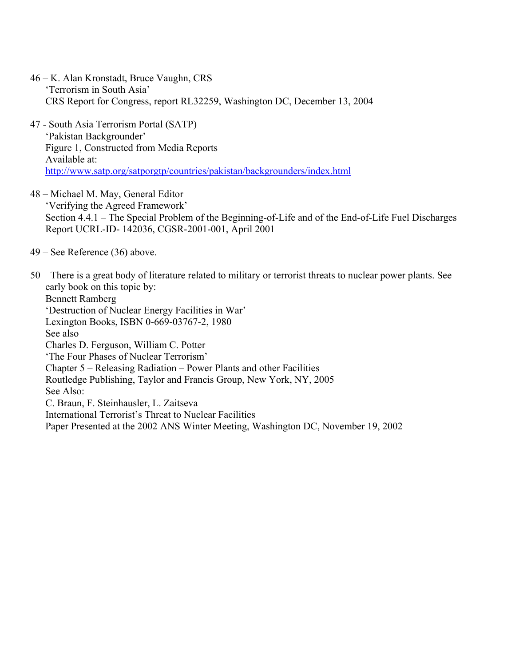- 46 K. Alan Kronstadt, Bruce Vaughn, CRS 'Terrorism in South Asia' CRS Report for Congress, report RL32259, Washington DC, December 13, 2004
- 47 South Asia Terrorism Portal (SATP) 'Pakistan Backgrounder' Figure 1, Constructed from Media Reports Available at: http://www.satp.org/satporgtp/countries/pakistan/backgrounders/index.html
- 48 Michael M. May, General Editor 'Verifying the Agreed Framework' Section 4.4.1 – The Special Problem of the Beginning-of-Life and of the End-of-Life Fuel Discharges Report UCRL-ID- 142036, CGSR-2001-001, April 2001
- 49 See Reference (36) above.
- 50 There is a great body of literature related to military or terrorist threats to nuclear power plants. See early book on this topic by: Bennett Ramberg 'Destruction of Nuclear Energy Facilities in War' Lexington Books, ISBN 0-669-03767-2, 1980 See also Charles D. Ferguson, William C. Potter 'The Four Phases of Nuclear Terrorism' Chapter 5 – Releasing Radiation – Power Plants and other Facilities Routledge Publishing, Taylor and Francis Group, New York, NY, 2005 See Also: C. Braun, F. Steinhausler, L. Zaitseva International Terrorist's Threat to Nuclear Facilities Paper Presented at the 2002 ANS Winter Meeting, Washington DC, November 19, 2002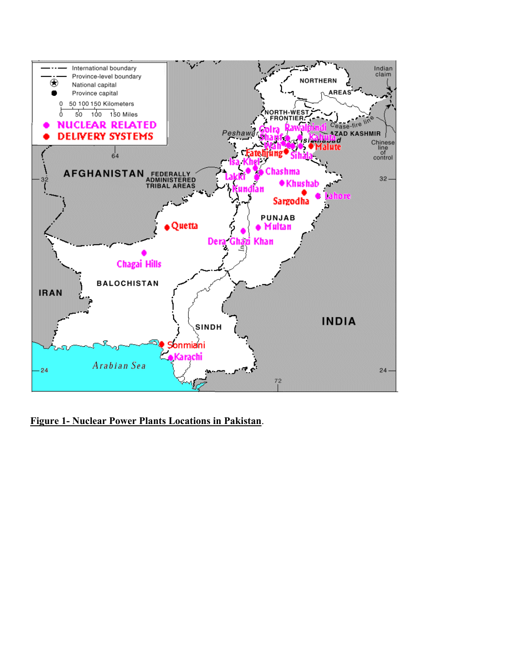

**Figure 1- Nuclear Power Plants Locations in Pakistan**.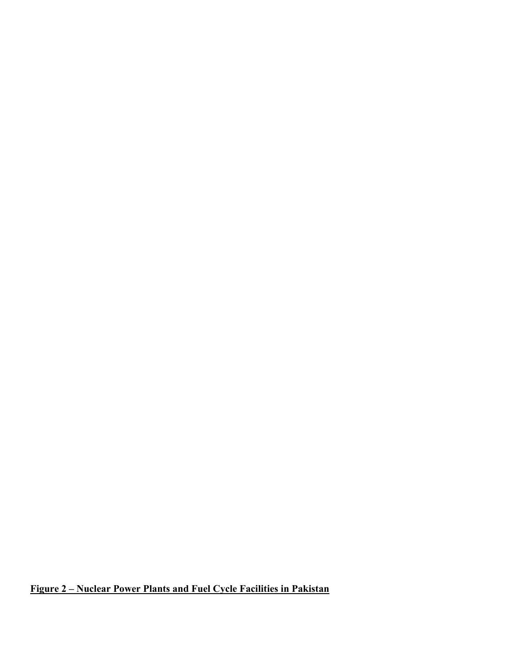**Figure 2 – Nuclear Power Plants and Fuel Cycle Facilities in Pakistan**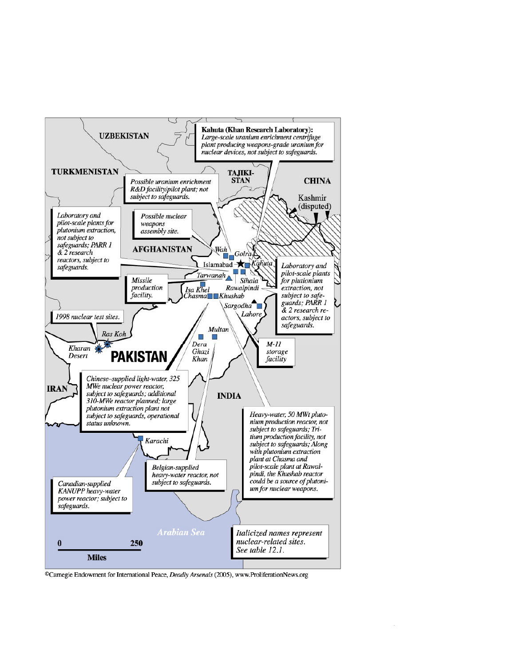

<sup>®</sup>Carnegie Endowment for International Peace, *Deadly Arsenals* (2005), www.ProliferationNews.org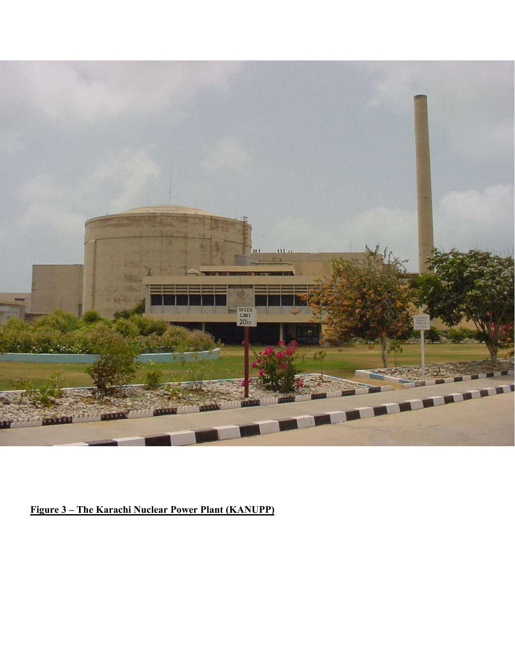

# **Figure 3 – The Karachi Nuclear Power Plant (KANUPP)**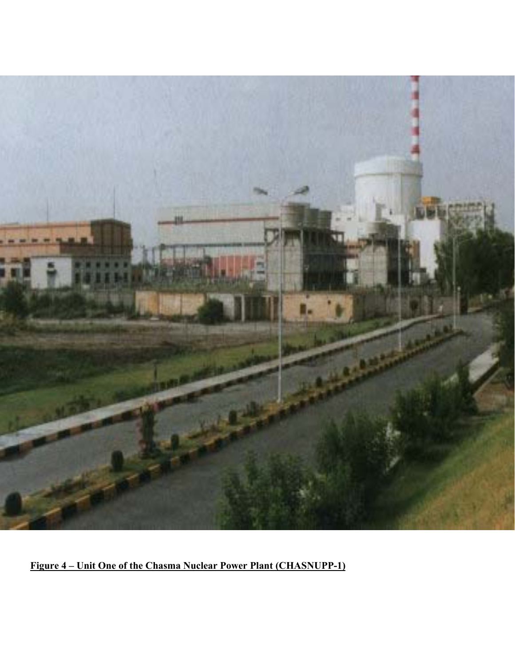![](_page_41_Picture_0.jpeg)

**Figure 4 – Unit One of the Chasma Nuclear Power Plant (CHASNUPP-1)**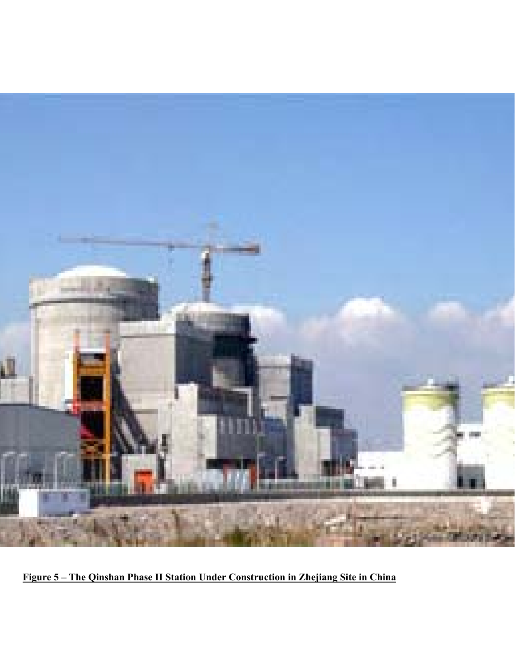![](_page_42_Picture_0.jpeg)

**Figure 5 – The Qinshan Phase II Station Under Construction in Zhejiang Site in China**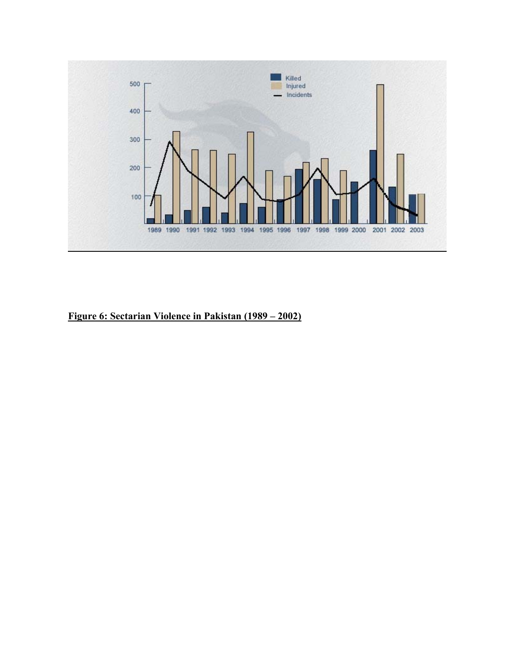![](_page_43_Figure_0.jpeg)

**Figure 6: Sectarian Violence in Pakistan (1989 – 2002)**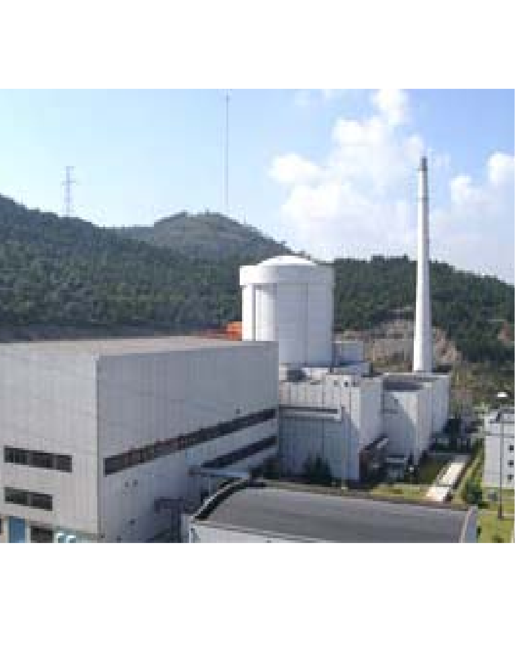![](_page_44_Picture_0.jpeg)